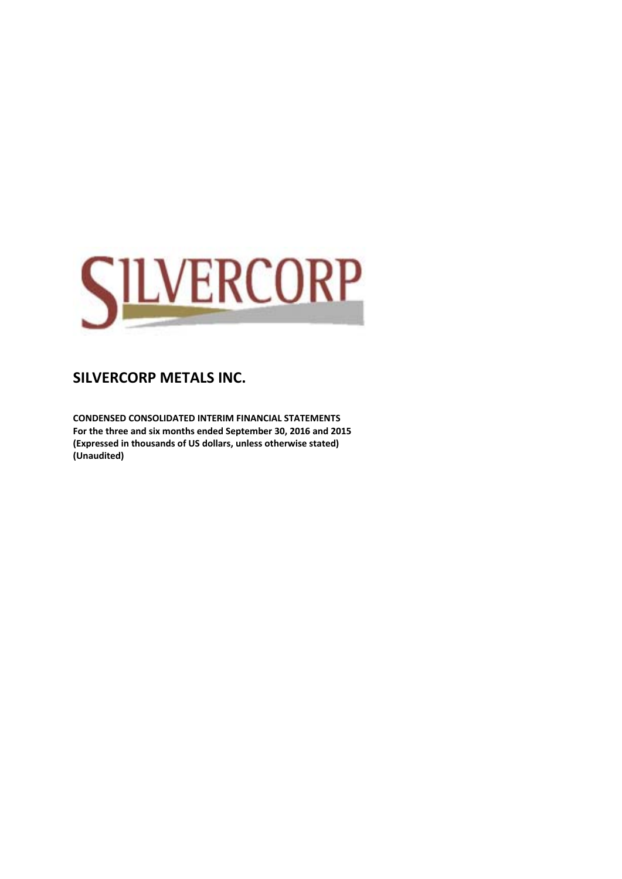

**CONDENSED CONSOLIDATED INTERIM FINANCIAL STATEMENTS For the three and six months ended September 30, 2016 and 2015 (Expressed in thousands of US dollars, unless otherwise stated) (Unaudited)**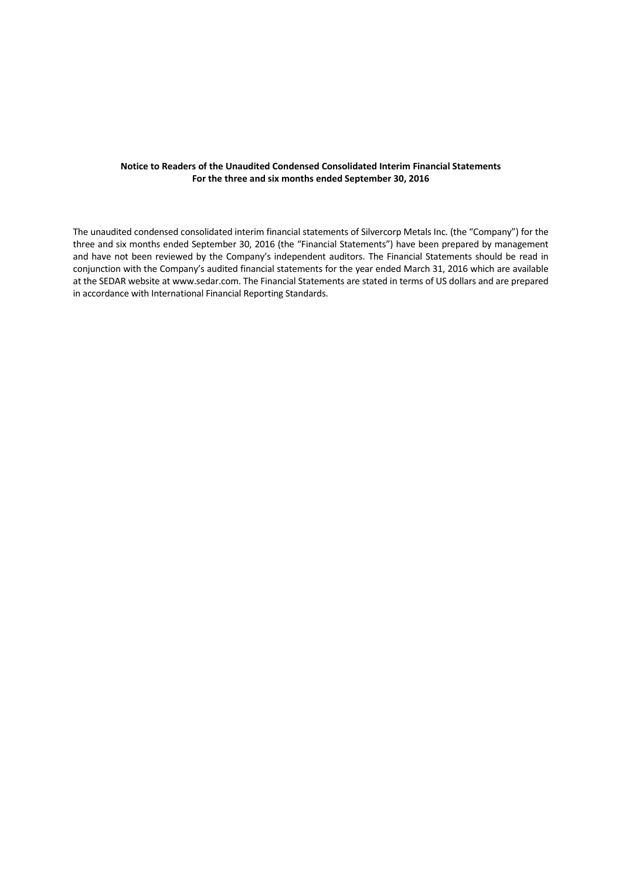#### **Notice to Readers of the Unaudited Condensed Consolidated Interim Financial Statements For the three and six months ended September 30, 2016**

The unaudited condensed consolidated interim financial statements of Silvercorp Metals Inc. (the "Company") for the three and six months ended September 30, 2016 (the "Financial Statements") have been prepared by management and have not been reviewed by the Company's independent auditors. The Financial Statements should be read in conjunction with the Company's audited financial statements for the year ended March 31, 2016 which are available at the SEDAR website at www.sedar.com. The Financial Statements are stated in terms of US dollars and are prepared in accordance with International Financial Reporting Standards.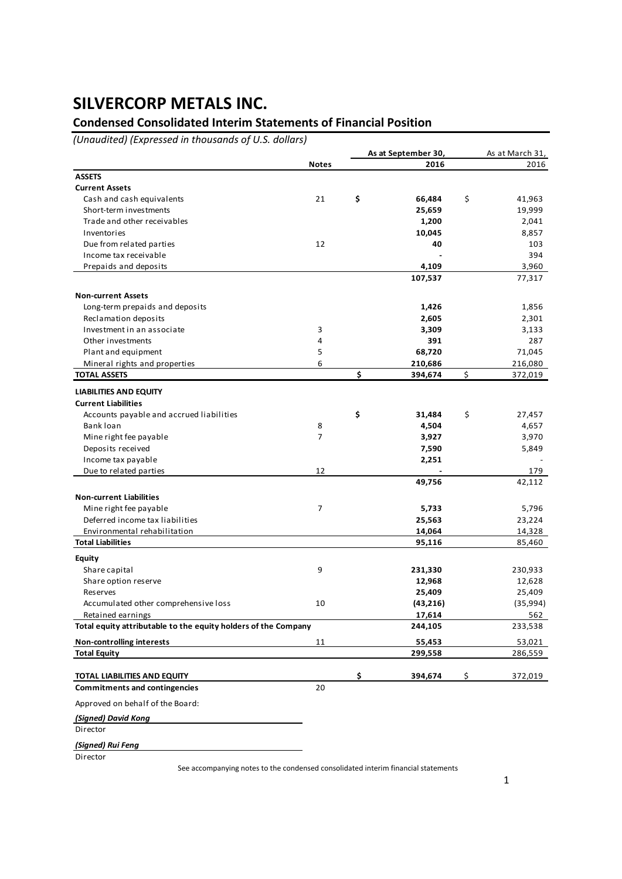### **Condensed Consolidated Interim Statements of Financial Position**

*(Unaudited) (Expressed in thousands of U.S. dollars)*

|                                                                |                | As at September 30, | As at March 31, |
|----------------------------------------------------------------|----------------|---------------------|-----------------|
|                                                                | <b>Notes</b>   | 2016                | 2016            |
| <b>ASSETS</b>                                                  |                |                     |                 |
| <b>Current Assets</b>                                          |                |                     |                 |
| Cash and cash equivalents                                      | 21             | \$<br>66,484        | \$<br>41,963    |
| Short-term investments                                         |                | 25,659              | 19,999          |
| Trade and other receivables                                    |                | 1,200               | 2,041           |
| Inventories                                                    |                | 10,045              | 8,857           |
| Due from related parties                                       | 12             | 40                  | 103             |
| Income tax receivable                                          |                |                     | 394             |
| Prepaids and deposits                                          |                | 4,109               | 3,960           |
|                                                                |                | 107,537             | 77,317          |
|                                                                |                |                     |                 |
| <b>Non-current Assets</b>                                      |                |                     |                 |
| Long-term prepaids and deposits                                |                | 1,426               | 1,856           |
| Reclamation deposits                                           |                | 2,605               | 2,301           |
| Investment in an associate                                     | 3              | 3,309               | 3,133           |
| Other investments                                              | 4              | 391                 | 287             |
| Plant and equipment                                            | 5              | 68,720              | 71,045          |
| Mineral rights and properties                                  | 6              | 210,686             | 216,080         |
| <b>TOTAL ASSETS</b>                                            |                | \$<br>394,674       | \$<br>372,019   |
|                                                                |                |                     |                 |
| <b>LIABILITIES AND EQUITY</b>                                  |                |                     |                 |
| <b>Current Liabilities</b>                                     |                |                     |                 |
| Accounts payable and accrued liabilities                       |                | \$<br>31,484        | \$<br>27,457    |
| Bank loan                                                      | 8              | 4,504               | 4,657           |
| Mine right fee payable                                         | $\overline{7}$ | 3,927               | 3,970           |
| Deposits received                                              |                | 7,590               | 5,849           |
| Income tax payable                                             |                | 2,251               |                 |
| Due to related parties                                         | 12             |                     | 179             |
|                                                                |                | 49,756              | 42,112          |
| <b>Non-current Liabilities</b>                                 |                |                     |                 |
| Mine right fee payable                                         | 7              | 5,733               | 5,796           |
| Deferred income tax liabilities                                |                | 25,563              | 23,224          |
| Environmental rehabilitation                                   |                | 14,064              | 14,328          |
| <b>Total Liabilities</b>                                       |                | 95,116              | 85,460          |
|                                                                |                |                     |                 |
| Equity                                                         |                |                     |                 |
| Share capital                                                  | 9              | 231,330             | 230,933         |
| Share option reserve                                           |                | 12,968              | 12,628          |
| Reserves                                                       |                | 25,409              | 25,409          |
| Accumulated other comprehensive loss                           | 10             | (43, 216)           | (35, 994)       |
| Retained earnings                                              |                | 17,614              | 562             |
| Total equity attributable to the equity holders of the Company |                | 244,105             | 233,538         |
| <b>Non-controlling interests</b>                               | 11             | 55,453              | 53,021          |
| <b>Total Equity</b>                                            |                | 299,558             | 286,559         |
|                                                                |                |                     |                 |
|                                                                |                | \$                  | \$              |
| TOTAL LIABILITIES AND EQUITY                                   |                | 394,674             | 372,019         |
| <b>Commitments and contingencies</b>                           | 20             |                     |                 |
| Approved on behalf of the Board:                               |                |                     |                 |
| (Signed) David Kong                                            |                |                     |                 |
| Director                                                       |                |                     |                 |
|                                                                |                |                     |                 |
| (Signed) Rui Feng                                              |                |                     |                 |
| Director                                                       |                |                     |                 |

See accompanying notes to the condensed consolidated interim financial statements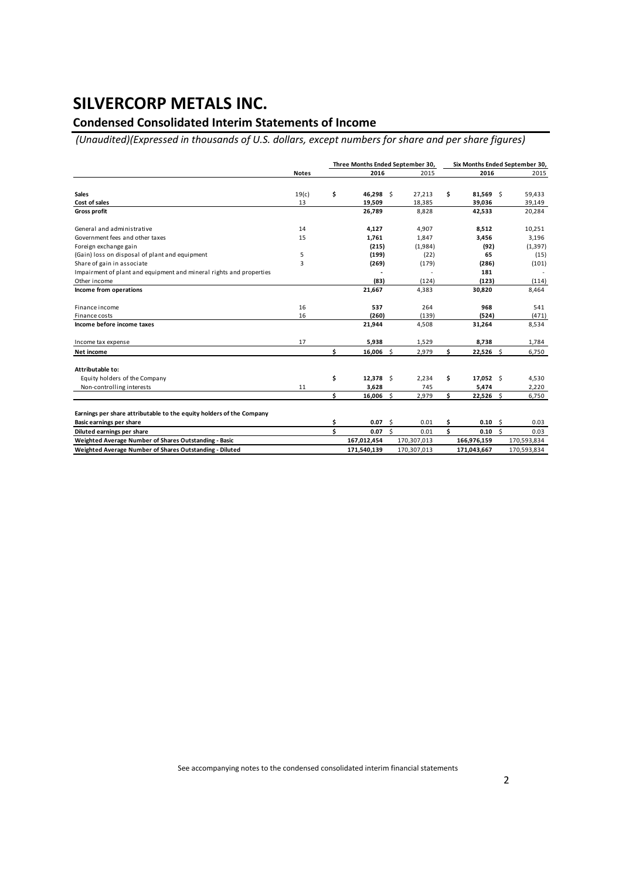### **Condensed Consolidated Interim Statements of Income**

*(Unaudited)(Expressed in thousands of U.S. dollars, except numbers for share and per share figures)*

|                                                                      |              | Three Months Ended September 30, |             |     |             |     | Six Months Ended September 30, |    |             |
|----------------------------------------------------------------------|--------------|----------------------------------|-------------|-----|-------------|-----|--------------------------------|----|-------------|
|                                                                      | <b>Notes</b> |                                  | 2016        |     | 2015        |     | 2016                           |    | 2015        |
|                                                                      |              |                                  |             |     |             |     |                                |    |             |
| <b>Sales</b>                                                         | 19(c)        | \$                               | 46,298 \$   |     | 27,213      | \$  | 81,569                         | \$ | 59,433      |
| Cost of sales                                                        | 13           |                                  | 19,509      |     | 18,385      |     | 39,036                         |    | 39,149      |
| <b>Gross profit</b>                                                  |              |                                  | 26,789      |     | 8,828       |     | 42,533                         |    | 20,284      |
| General and administrative                                           | 14           |                                  | 4,127       |     | 4,907       |     | 8,512                          |    | 10,251      |
| Government fees and other taxes                                      | 15           |                                  | 1.761       |     | 1,847       |     | 3,456                          |    | 3,196       |
| Foreign exchange gain                                                |              |                                  | (215)       |     | (1,984)     |     | (92)                           |    | (1, 397)    |
| (Gain) loss on disposal of plant and equipment                       | 5            |                                  | (199)       |     | (22)        |     | 65                             |    | (15)        |
| Share of gain in associate                                           | 3            |                                  | (269)       |     | (179)       |     | (286)                          |    | (101)       |
| Impairment of plant and equipment and mineral rights and properties  |              |                                  |             |     |             |     | 181                            |    |             |
| Other income                                                         |              |                                  | (83)        |     | (124)       |     | (123)                          |    | (114)       |
| Income from operations                                               |              |                                  | 21,667      |     | 4,383       |     | 30,820                         |    | 8,464       |
| Finance income                                                       | 16           |                                  | 537         |     | 264         |     | 968                            |    | 541         |
| Finance costs                                                        | 16           |                                  | (260)       |     | (139)       |     | (524)                          |    | (471)       |
| Income before income taxes                                           |              |                                  | 21,944      |     | 4,508       |     | 31,264                         |    | 8,534       |
| Income tax expense                                                   | 17           |                                  | 5,938       |     | 1,529       |     | 8,738                          |    | 1,784       |
| Net income                                                           |              | \$                               | $16,006$ \$ |     | 2,979       | \$  | $22,526$ \$                    |    | 6,750       |
| Attributable to:                                                     |              |                                  |             |     |             |     |                                |    |             |
| Equity holders of the Company                                        |              | \$                               | $12,378$ \$ |     | 2,234       | \$  | $17,052$ \$                    |    | 4,530       |
| Non-controlling interests                                            | 11           |                                  | 3,628       |     | 745         |     | 5,474                          |    | 2,220       |
|                                                                      |              | \$                               | 16,006      | Ŝ.  | 2,979       | \$  | $22,526$ \$                    |    | 6,750       |
| Earnings per share attributable to the equity holders of the Company |              |                                  |             |     |             |     |                                |    |             |
| Basic earnings per share                                             |              | Ś                                | 0.07        | - Ś | 0.01        | \$  | 0.10                           | Ŝ. | 0.03        |
| Diluted earnings per share                                           |              | Ś                                | 0.07 S      |     | 0.01        | \$. | $0.10 \,$ \$                   |    | 0.03        |
| Weighted Average Number of Shares Outstanding - Basic                |              |                                  | 167,012,454 |     | 170,307,013 |     | 166,976,159                    |    | 170,593,834 |
| Weighted Average Number of Shares Outstanding - Diluted              |              |                                  | 171,540,139 |     | 170,307,013 |     | 171,043,667                    |    | 170,593,834 |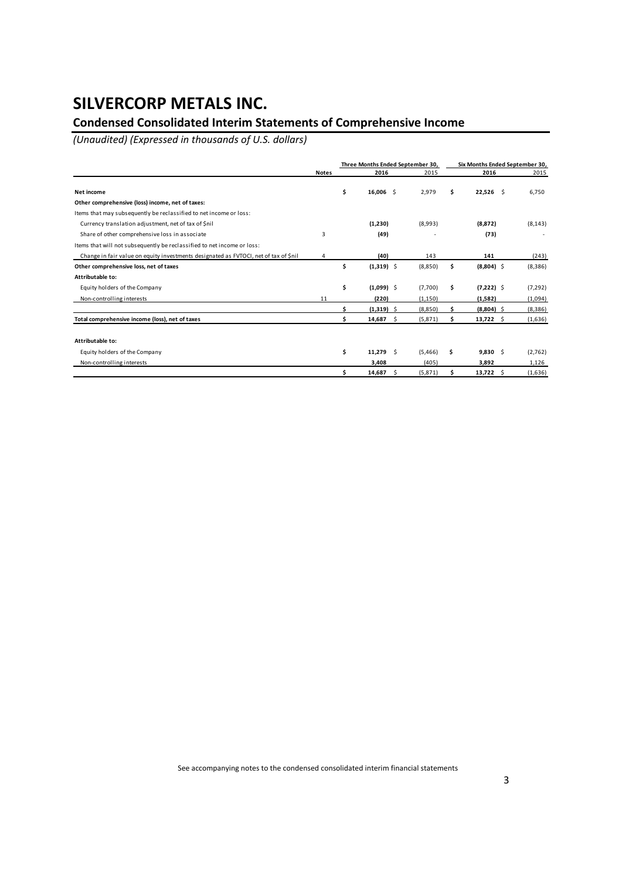### **Condensed Consolidated Interim Statements of Comprehensive Income**

*(Unaudited) (Expressed in thousands of U.S. dollars)*

|                                                                                      |              | Three Months Ended September 30, |     |          |     |              | Six Months Ended September 30, |  |  |
|--------------------------------------------------------------------------------------|--------------|----------------------------------|-----|----------|-----|--------------|--------------------------------|--|--|
|                                                                                      | <b>Notes</b> | 2016                             |     | 2015     |     | 2016         | 2015                           |  |  |
| Net income                                                                           |              | \$<br>$16,006$ \$                |     | 2,979    | s   | $22,526$ \$  | 6,750                          |  |  |
| Other comprehensive (loss) income, net of taxes:                                     |              |                                  |     |          |     |              |                                |  |  |
| Items that may subsequently be reclassified to net income or loss:                   |              |                                  |     |          |     |              |                                |  |  |
| Currency translation adjustment, net of tax of \$nil                                 |              | (1, 230)                         |     | (8,993)  |     | (8, 872)     | (8, 143)                       |  |  |
| Share of other comprehensive loss in associate                                       | 3            | (49)                             |     |          |     | (73)         |                                |  |  |
| Items that will not subsequently be reclassified to net income or loss:              |              |                                  |     |          |     |              |                                |  |  |
| Change in fair value on equity investments designated as FVTOCI, net of tax of \$nil | 4            | (40)                             |     | 143      |     | 141          | (243)                          |  |  |
| Other comprehensive loss, net of taxes                                               |              | \$<br>$(1,319)$ \$               |     | (8,850)  | \$  | $(8,804)$ \$ | (8,386)                        |  |  |
| Attributable to:                                                                     |              |                                  |     |          |     |              |                                |  |  |
| Equity holders of the Company                                                        |              | \$<br>$(1,099)$ \$               |     | (7,700)  | \$. | $(7,222)$ \$ | (7, 292)                       |  |  |
| Non-controlling interests                                                            | 11           | (220)                            |     | (1, 150) |     | (1,582)      | (1,094)                        |  |  |
|                                                                                      |              | $(1,319)$ \$                     |     | (8,850)  |     | $(8,804)$ \$ | (8,386)                        |  |  |
| Total comprehensive income (loss), net of taxes                                      |              | 14,687                           | \$. | (5, 871) |     | $13,722$ \$  | (1,636)                        |  |  |
| Attributable to:                                                                     |              |                                  |     |          |     |              |                                |  |  |
| Equity holders of the Company                                                        |              | \$<br>11,279                     | - Ś | (5,466)  | s   | $9,830$ \$   | (2,762)                        |  |  |
| Non-controlling interests                                                            |              | 3,408                            |     | (405)    |     | 3,892        | 1,126                          |  |  |
|                                                                                      |              | 14,687                           | Ŝ.  | (5, 871) |     | $13,722$ \$  | (1,636)                        |  |  |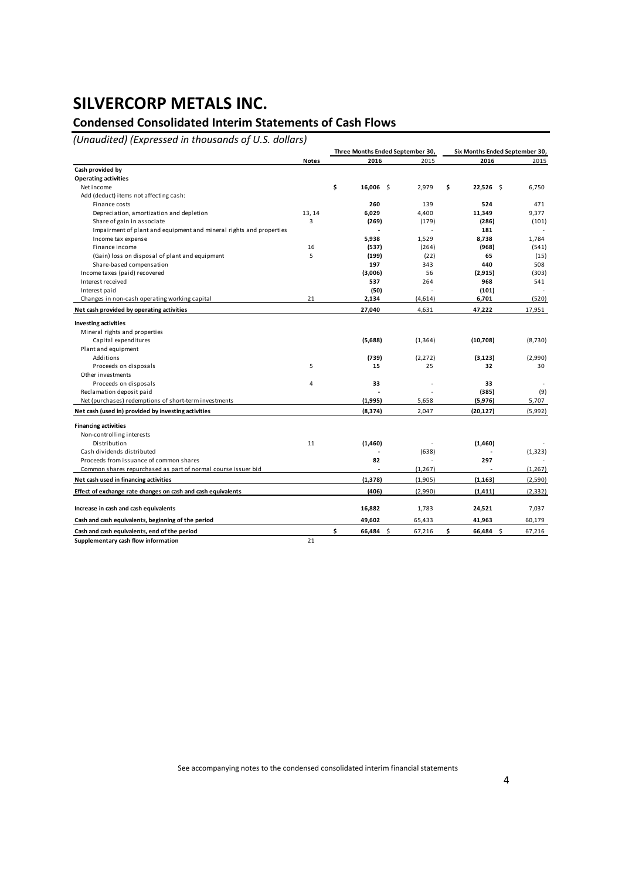### **Condensed Consolidated Interim Statements of Cash Flows**

*(Unaudited) (Expressed in thousands of U.S. dollars)*

|                                                                     |              | Three Months Ended September 30, |          | Six Months Ended September 30, |          |  |  |  |
|---------------------------------------------------------------------|--------------|----------------------------------|----------|--------------------------------|----------|--|--|--|
|                                                                     | <b>Notes</b> | 2016                             | 2015     | 2016                           | 2015     |  |  |  |
| Cash provided by                                                    |              |                                  |          |                                |          |  |  |  |
| <b>Operating activities</b>                                         |              |                                  |          |                                |          |  |  |  |
| Net income                                                          |              | \$<br>$16,006$ \$                | 2,979    | \$<br>$22,526$ \$              | 6,750    |  |  |  |
| Add (deduct) items not affecting cash:                              |              |                                  |          |                                |          |  |  |  |
| Finance costs                                                       |              | 260                              | 139      | 524                            | 471      |  |  |  |
| Depreciation, amortization and depletion                            | 13, 14       | 6,029                            | 4,400    | 11,349                         | 9,377    |  |  |  |
| Share of gain in associate                                          | 3            | (269)                            | (179)    | (286)                          | (101)    |  |  |  |
| Impairment of plant and equipment and mineral rights and properties |              |                                  |          | 181                            |          |  |  |  |
| Income tax expense                                                  |              | 5,938                            | 1,529    | 8,738                          | 1,784    |  |  |  |
| Finance income                                                      | 16           | (537)                            | (264)    | (968)                          | (541)    |  |  |  |
| (Gain) loss on disposal of plant and equipment                      | 5            | (199)                            | (22)     | 65                             | (15)     |  |  |  |
| Share-based compensation                                            |              | 197                              | 343      | 440                            | 508      |  |  |  |
| Income taxes (paid) recovered                                       |              | (3,006)                          | 56       | (2,915)                        | (303)    |  |  |  |
| Interest received                                                   |              | 537                              | 264      | 968                            | 541      |  |  |  |
| Interest paid                                                       |              | (50)                             |          | (101)                          |          |  |  |  |
| Changes in non-cash operating working capital                       | 21           | 2,134                            | (4,614)  | 6,701                          | (520)    |  |  |  |
| Net cash provided by operating activities                           |              | 27,040                           | 4,631    | 47,222                         | 17,951   |  |  |  |
| <b>Investing activities</b>                                         |              |                                  |          |                                |          |  |  |  |
| Mineral rights and properties                                       |              |                                  |          |                                |          |  |  |  |
| Capital expenditures                                                |              | (5,688)                          | (1, 364) | (10,708)                       | (8,730)  |  |  |  |
| Plant and equipment                                                 |              |                                  |          |                                |          |  |  |  |
| Additions                                                           |              | (739)                            | (2, 272) | (3, 123)                       | (2,990)  |  |  |  |
| Proceeds on disposals                                               | 5            | 15                               | 25       | 32                             | 30       |  |  |  |
| Other investments                                                   |              |                                  |          |                                |          |  |  |  |
| Proceeds on disposals                                               | 4            | 33                               |          | 33                             |          |  |  |  |
| Reclamation deposit paid                                            |              |                                  |          | (385)                          | (9)      |  |  |  |
| Net (purchases) redemptions of short-term investments               |              | (1,995)                          | 5,658    | (5,976)                        | 5,707    |  |  |  |
| Net cash (used in) provided by investing activities                 |              | (8, 374)                         | 2,047    | (20, 127)                      | (5,992)  |  |  |  |
| <b>Financing activities</b>                                         |              |                                  |          |                                |          |  |  |  |
| Non-controlling interests                                           |              |                                  |          |                                |          |  |  |  |
| Distribution                                                        | 11           | (1,460)                          |          | (1,460)                        |          |  |  |  |
| Cash dividends distributed                                          |              |                                  | (638)    |                                | (1, 323) |  |  |  |
| Proceeds from issuance of common shares                             |              | 82                               |          | 297                            |          |  |  |  |
| Common shares repurchased as part of normal course issuer bid       |              |                                  | (1, 267) |                                | (1, 267) |  |  |  |
| Net cash used in financing activities                               |              | (1, 378)                         | (1,905)  | (1, 163)                       | (2,590)  |  |  |  |
| Effect of exchange rate changes on cash and cash equivalents        |              | (406)                            | (2,990)  | (1, 411)                       | (2, 332) |  |  |  |
|                                                                     |              |                                  |          |                                |          |  |  |  |
| Increase in cash and cash equivalents                               |              | 16,882                           | 1,783    | 24,521                         | 7,037    |  |  |  |
| Cash and cash equivalents, beginning of the period                  |              | 49,602                           | 65,433   | 41,963                         | 60,179   |  |  |  |
| Cash and cash equivalents, end of the period                        |              | \$<br>66,484 \$                  | 67,216   | \$<br>66,484 \$                | 67,216   |  |  |  |
| Supplementary cash flow information                                 | 21           |                                  |          |                                |          |  |  |  |

See accompanying notes to the condensed consolidated interim financial statements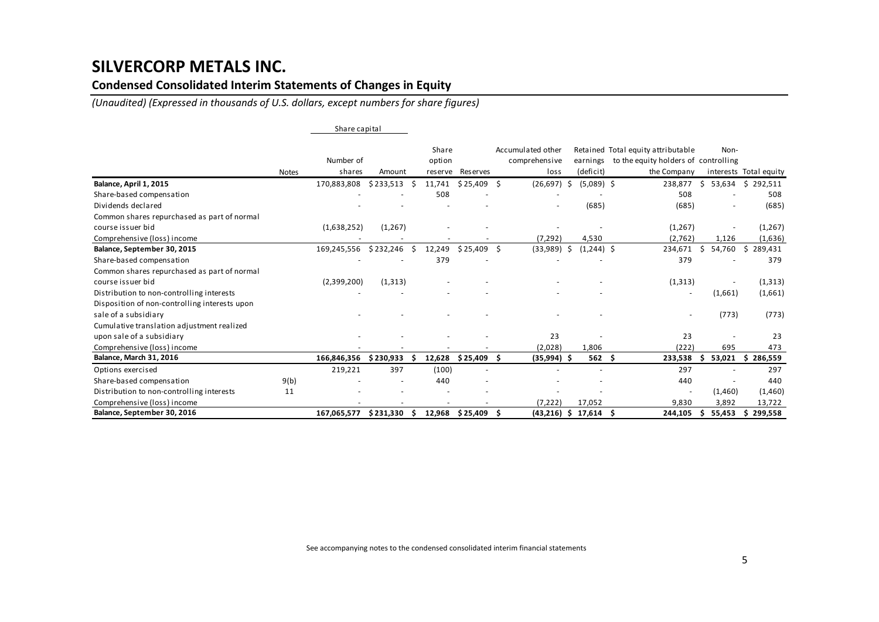### **Condensed Consolidated Interim Statements of Changes in Equity**

*(Unaudited) (Expressed in thousands of U.S. dollars, except numbers for share figures)*

|                                               |       | Share capital       |           |    |                            |                          |     |                                            |     |                          |                                                                                           |     |         |                        |
|-----------------------------------------------|-------|---------------------|-----------|----|----------------------------|--------------------------|-----|--------------------------------------------|-----|--------------------------|-------------------------------------------------------------------------------------------|-----|---------|------------------------|
|                                               | Notes | Number of<br>shares | Amount    |    | Share<br>option<br>reserve | Reserves                 |     | Accumulated other<br>comprehensive<br>loss |     | earnings<br>(deficit)    | Retained Total equity attributable<br>to the equity holders of controlling<br>the Company |     | Non-    | interests Total equity |
| Balance, April 1, 2015                        |       | 170,883,808         | \$233,513 | -S | 11,741                     | \$25,409                 | Ŝ.  | (26, 697)                                  | -\$ | $(5,089)$ \$             | 238,877                                                                                   | Ŝ.  | 53,634  | \$292,511              |
| Share-based compensation                      |       |                     |           |    | 508                        |                          |     |                                            |     |                          | 508                                                                                       |     |         | 508                    |
| Dividends declared                            |       |                     |           |    |                            |                          |     |                                            |     | (685)                    | (685)                                                                                     |     |         | (685)                  |
| Common shares repurchased as part of normal   |       |                     |           |    |                            |                          |     |                                            |     |                          |                                                                                           |     |         |                        |
| course issuer bid                             |       | (1,638,252)         | (1,267)   |    |                            |                          |     |                                            |     |                          | (1,267)                                                                                   |     |         | (1, 267)               |
| Comprehensive (loss) income                   |       |                     |           |    |                            |                          |     | (7, 292)                                   |     | 4,530                    | (2,762)                                                                                   |     | 1,126   | (1,636)                |
| Balance, September 30, 2015                   |       | 169,245,556         | \$232,246 | \$ | 12,249                     | $$25,409$ \$             |     | (33,989)                                   | -\$ | $(1,244)$ \$             | 234,671                                                                                   | Ŝ.  | 54,760  | \$<br>289,431          |
| Share-based compensation                      |       |                     |           |    | 379                        |                          |     |                                            |     |                          | 379                                                                                       |     |         | 379                    |
| Common shares repurchased as part of normal   |       |                     |           |    |                            |                          |     |                                            |     |                          |                                                                                           |     |         |                        |
| course issuer bid                             |       | (2,399,200)         | (1, 313)  |    |                            |                          |     |                                            |     |                          | (1, 313)                                                                                  |     |         | (1, 313)               |
| Distribution to non-controlling interests     |       |                     |           |    |                            |                          |     |                                            |     |                          | $\overline{\phantom{a}}$                                                                  |     | (1,661) | (1,661)                |
| Disposition of non-controlling interests upon |       |                     |           |    |                            |                          |     |                                            |     |                          |                                                                                           |     |         |                        |
| sale of a subsidiary                          |       |                     |           |    |                            |                          |     |                                            |     |                          |                                                                                           |     | (773)   | (773)                  |
| Cumulative translation adjustment realized    |       |                     |           |    |                            |                          |     |                                            |     |                          |                                                                                           |     |         |                        |
| upon sale of a subsidiary                     |       |                     |           |    |                            |                          |     | 23                                         |     |                          | 23                                                                                        |     |         | 23                     |
| Comprehensive (loss) income                   |       |                     |           |    |                            |                          |     | (2,028)                                    |     | 1,806                    | (222)                                                                                     |     | 695     | 473                    |
| <b>Balance, March 31, 2016</b>                |       | 166,846,356         | \$230,933 | -S | 12,628                     | \$25,409                 | - S | $(35,994)$ \$                              |     | $562 \quad $$            | 233,538                                                                                   |     | 53,021  | \$286,559              |
| Options exercised                             |       | 219,221             | 397       |    | (100)                      | $\overline{\phantom{a}}$ |     |                                            |     | $\overline{\phantom{a}}$ | 297                                                                                       |     |         | 297                    |
| Share-based compensation                      | 9(b)  |                     |           |    | 440                        |                          |     |                                            |     |                          | 440                                                                                       |     |         | 440                    |
| Distribution to non-controlling interests     | 11    |                     |           |    |                            |                          |     |                                            |     |                          |                                                                                           |     | (1,460) | (1,460)                |
| Comprehensive (loss) income                   |       |                     |           |    |                            |                          |     | (7, 222)                                   |     | 17,052                   | 9,830                                                                                     |     | 3,892   | 13,722                 |
| Balance, September 30, 2016                   |       | 167,065,577         | \$231,330 | S  |                            | 12,968 \$25,409 \$       |     |                                            |     | $(43,216)$ \$ 17,614 \$  | 244,105                                                                                   | \$. | 55,453  | 299,558<br>Ś.          |

See accompanying notes to the condensed consolidated interim financial statements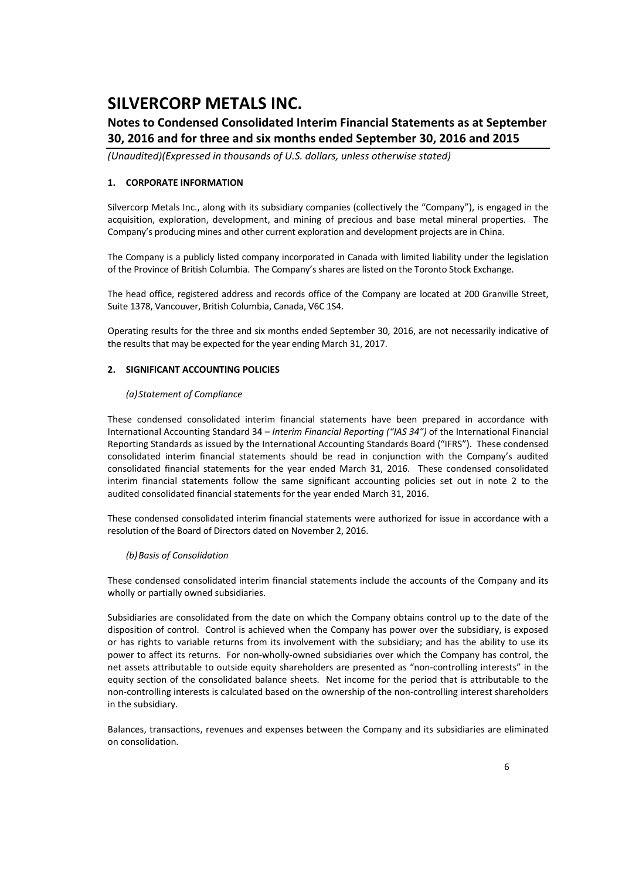### **Notes to Condensed Consolidated Interim Financial Statements as at September 30, 2016 and for three and six months ended September 30, 2016 and 2015**

*(Unaudited)(Expressed in thousands of U.S. dollars, unless otherwise stated)*

### **1. CORPORATE INFORMATION**

Silvercorp Metals Inc., along with its subsidiary companies (collectively the "Company"), is engaged in the acquisition, exploration, development, and mining of precious and base metal mineral properties. The Company's producing mines and other current exploration and development projects are in China.

The Company is a publicly listed company incorporated in Canada with limited liability under the legislation of the Province of British Columbia. The Company's shares are listed on the Toronto Stock Exchange.

The head office, registered address and records office of the Company are located at 200 Granville Street, Suite 1378, Vancouver, British Columbia, Canada, V6C 1S4.

Operating results for the three and six months ended September 30, 2016, are not necessarily indicative of the results that may be expected for the year ending March 31, 2017.

### **2. SIGNIFICANT ACCOUNTING POLICIES**

#### *(a) Statement of Compliance*

These condensed consolidated interim financial statements have been prepared in accordance with International Accounting Standard 34 – *Interim Financial Reporting ("IAS 34")* of the International Financial Reporting Standards as issued by the International Accounting Standards Board ("IFRS"). These condensed consolidated interim financial statements should be read in conjunction with the Company's audited consolidated financial statements for the year ended March 31, 2016. These condensed consolidated interim financial statements follow the same significant accounting policies set out in note 2 to the audited consolidated financial statements for the year ended March 31, 2016.

These condensed consolidated interim financial statements were authorized for issue in accordance with a resolution of the Board of Directors dated on November 2, 2016.

### *(b)Basis of Consolidation*

These condensed consolidated interim financial statements include the accounts of the Company and its wholly or partially owned subsidiaries.

Subsidiaries are consolidated from the date on which the Company obtains control up to the date of the disposition of control. Control is achieved when the Company has power over the subsidiary, is exposed or has rights to variable returns from its involvement with the subsidiary; and has the ability to use its power to affect its returns. For non-wholly-owned subsidiaries over which the Company has control, the net assets attributable to outside equity shareholders are presented as "non-controlling interests" in the equity section of the consolidated balance sheets. Net income for the period that is attributable to the non-controlling interests is calculated based on the ownership of the non-controlling interest shareholders in the subsidiary.

Balances, transactions, revenues and expenses between the Company and its subsidiaries are eliminated on consolidation.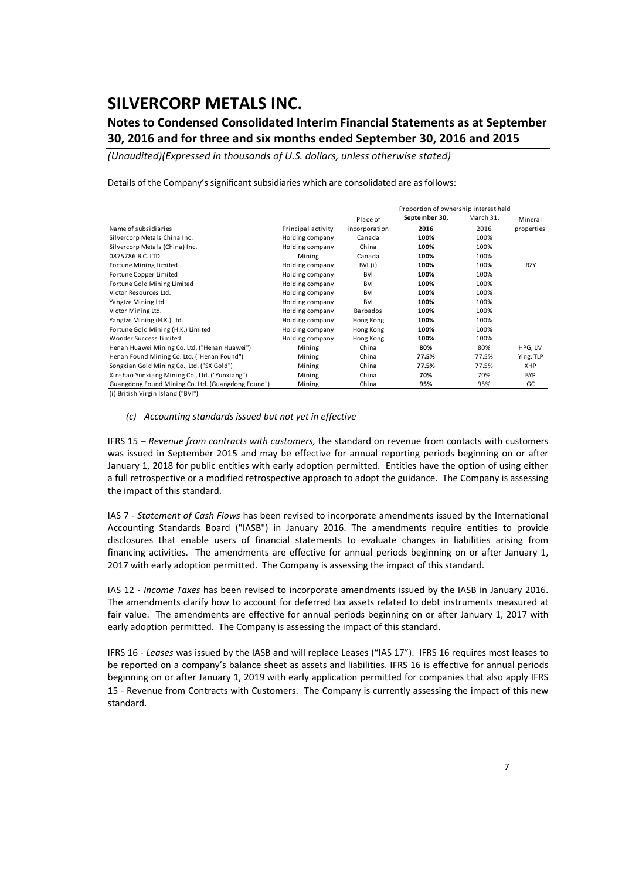### **Notes to Condensed Consolidated Interim Financial Statements as at September 30, 2016 and for three and six months ended September 30, 2016 and 2015**

*(Unaudited)(Expressed in thousands of U.S. dollars, unless otherwise stated)*

Details of the Company's significant subsidiaries which are consolidated are as follows:

|                                                    |                    |               | Proportion of ownership interest held |           |            |
|----------------------------------------------------|--------------------|---------------|---------------------------------------|-----------|------------|
|                                                    |                    | Place of      | September 30,                         | March 31, | Mineral    |
| Name of subsidiaries                               | Principal activity | incorporation | 2016                                  | 2016      | properties |
| Silvercorp Metals China Inc.                       | Holding company    | Canada        | 100%                                  | 100%      |            |
| Silvercorp Metals (China) Inc.                     | Holding company    | China         | 100%                                  | 100%      |            |
| 0875786 B.C. LTD.                                  | Mining             | Canada        | 100%                                  | 100%      |            |
| Fortune Mining Limited                             | Holding company    | BVI (i)       | 100%                                  | 100%      | <b>RZY</b> |
| Fortune Copper Limited                             | Holding company    | <b>BVI</b>    | 100%                                  | 100%      |            |
| Fortune Gold Mining Limited                        | Holding company    | <b>BVI</b>    | 100%                                  | 100%      |            |
| Victor Resources Ltd.                              | Holding company    | <b>BVI</b>    | 100%                                  | 100%      |            |
| Yangtze Mining Ltd.                                | Holding company    | <b>BVI</b>    | 100%                                  | 100%      |            |
| Victor Mining Ltd.                                 | Holding company    | Barbados      | 100%                                  | 100%      |            |
| Yangtze Mining (H.K.) Ltd.                         | Holding company    | Hong Kong     | 100%                                  | 100%      |            |
| Fortune Gold Mining (H.K.) Limited                 | Holding company    | Hong Kong     | 100%                                  | 100%      |            |
| Wonder Success Limited                             | Holding company    | Hong Kong     | 100%                                  | 100%      |            |
| Henan Huawei Mining Co. Ltd. ("Henan Huawei")      | Mining             | China         | 80%                                   | 80%       | HPG, LM    |
| Henan Found Mining Co. Ltd. ("Henan Found")        | Mining             | China         | 77.5%                                 | 77.5%     | Ying, TLP  |
| Songxian Gold Mining Co., Ltd. ("SX Gold")         | Mining             | China         | 77.5%                                 | 77.5%     | <b>XHP</b> |
| Xinshao Yunxiang Mining Co., Ltd. ("Yunxiang")     | Mining             | China         | 70%                                   | 70%       | <b>BYP</b> |
| Guangdong Found Mining Co. Ltd. (Guangdong Found") | Mining             | China         | 95%                                   | 95%       | GC         |

(i ) British Virgin Island ("BVI")

#### *(c) Accounting standards issued but not yet in effective*

IFRS 15 – *Revenue from contracts with customers,* the standard on revenue from contacts with customers was issued in September 2015 and may be effective for annual reporting periods beginning on or after January 1, 2018 for public entities with early adoption permitted. Entities have the option of using either a full retrospective or a modified retrospective approach to adopt the guidance. The Company is assessing the impact of this standard.

IAS 7 ‐ *Statement of Cash Flows* has been revised to incorporate amendments issued by the International Accounting Standards Board ("IASB") in January 2016. The amendments require entities to provide disclosures that enable users of financial statements to evaluate changes in liabilities arising from financing activities. The amendments are effective for annual periods beginning on or after January 1, 2017 with early adoption permitted. The Company is assessing the impact of this standard.

IAS 12 ‐ *Income Taxes* has been revised to incorporate amendments issued by the IASB in January 2016. The amendments clarify how to account for deferred tax assets related to debt instruments measured at fair value. The amendments are effective for annual periods beginning on or after January 1, 2017 with early adoption permitted. The Company is assessing the impact of this standard.

IFRS 16 ‐ *Leases* was issued by the IASB and will replace Leases ("IAS 17"). IFRS 16 requires most leases to be reported on a company's balance sheet as assets and liabilities. IFRS 16 is effective for annual periods beginning on or after January 1, 2019 with early application permitted for companies that also apply IFRS 15 - Revenue from Contracts with Customers. The Company is currently assessing the impact of this new standard.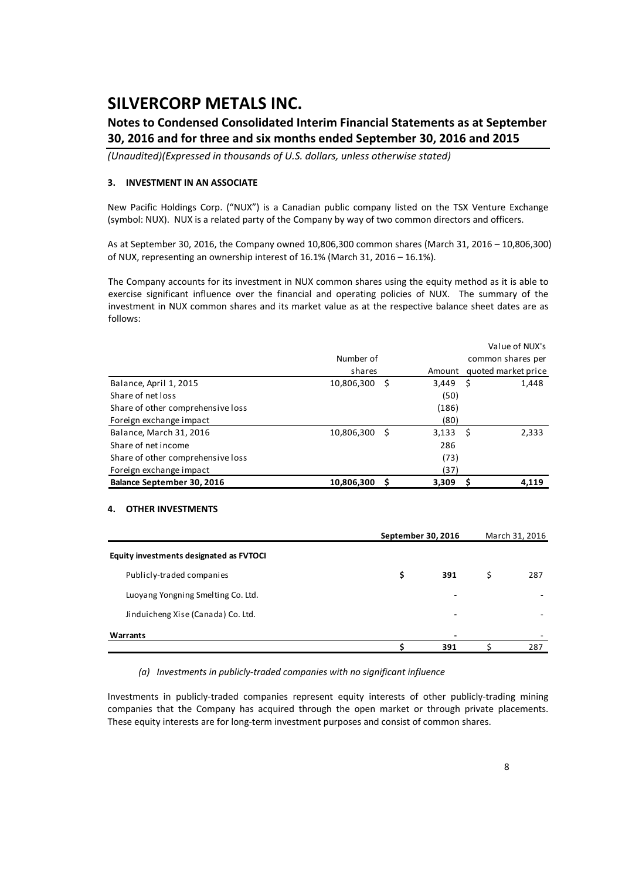### **Notes to Condensed Consolidated Interim Financial Statements as at September 30, 2016 and for three and six months ended September 30, 2016 and 2015**

*(Unaudited)(Expressed in thousands of U.S. dollars, unless otherwise stated)*

### **3. INVESTMENT IN AN ASSOCIATE**

New Pacific Holdings Corp. ("NUX") is a Canadian public company listed on the TSX Venture Exchange (symbol: NUX). NUX is a related party of the Company by way of two common directors and officers.

As at September 30, 2016, the Company owned 10,806,300 common shares (March 31, 2016 – 10,806,300) of NUX, representing an ownership interest of 16.1% (March 31, 2016 – 16.1%).

The Company accounts for its investment in NUX common shares using the equity method as it is able to exercise significant influence over the financial and operating policies of NUX. The summary of the investment in NUX common shares and its market value as at the respective balance sheet dates are as follows:

|                                   |            |   |            | Value of NUX's      |
|-----------------------------------|------------|---|------------|---------------------|
|                                   | Number of  |   |            | common shares per   |
|                                   | shares     |   | Amount     | quoted market price |
| Balance, April 1, 2015            | 10,806,300 | S | $3,449$ \$ | 1,448               |
| Share of net loss                 |            |   | (50)       |                     |
| Share of other comprehensive loss |            |   | (186)      |                     |
| Foreign exchange impact           |            |   | (80)       |                     |
| Balance, March 31, 2016           | 10,806,300 | S | $3,133$ \$ | 2,333               |
| Share of net income               |            |   | 286        |                     |
| Share of other comprehensive loss |            |   | (73)       |                     |
| Foreign exchange impact           |            |   | (37)       |                     |
| Balance September 30, 2016        | 10,806,300 |   | 3,309      | 4.119               |

### **4. OTHER INVESTMENTS**

|                                         | September 30, 2016 |                          |   | March 31, 2016 |
|-----------------------------------------|--------------------|--------------------------|---|----------------|
| Equity investments designated as FVTOCI |                    |                          |   |                |
| Publicly-traded companies               | \$                 | 391                      | S | 287            |
| Luoyang Yongning Smelting Co. Ltd.      |                    | $\overline{\phantom{0}}$ |   |                |
| Jinduicheng Xise (Canada) Co. Ltd.      |                    | ٠                        |   |                |
| Warrants                                |                    | $\overline{\phantom{0}}$ |   |                |
|                                         |                    | 391                      |   | 287            |

*(a) Investments in publicly‐traded companies with no significant influence*

Investments in publicly‐traded companies represent equity interests of other publicly‐trading mining companies that the Company has acquired through the open market or through private placements. These equity interests are for long‐term investment purposes and consist of common shares.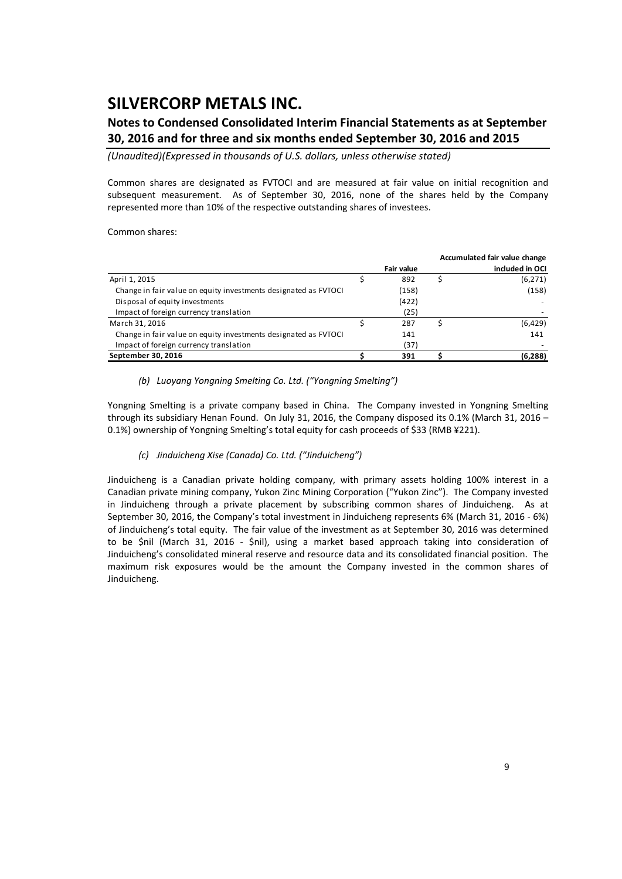### **Notes to Condensed Consolidated Interim Financial Statements as at September 30, 2016 and for three and six months ended September 30, 2016 and 2015**

*(Unaudited)(Expressed in thousands of U.S. dollars, unless otherwise stated)*

Common shares are designated as FVTOCI and are measured at fair value on initial recognition and subsequent measurement. As of September 30, 2016, none of the shares held by the Company represented more than 10% of the respective outstanding shares of investees.

Common shares:

|                                                                 |            | Accumulated fair value change |
|-----------------------------------------------------------------|------------|-------------------------------|
|                                                                 | Fair value | included in OCI               |
| April 1, 2015                                                   | 892        | (6, 271)                      |
| Change in fair value on equity investments designated as FVTOCI | (158)      | (158)                         |
| Disposal of equity investments                                  | (422)      |                               |
| Impact of foreign currency translation                          | (25)       |                               |
| March 31, 2016                                                  | 287        | (6,429)                       |
| Change in fair value on equity investments designated as FVTOCI | 141        | 141                           |
| Impact of foreign currency translation                          | (37)       |                               |
| September 30, 2016                                              | 391        | (6, 288)                      |

*(b) Luoyang Yongning Smelting Co. Ltd. ("Yongning Smelting")* 

Yongning Smelting is a private company based in China. The Company invested in Yongning Smelting through its subsidiary Henan Found. On July 31, 2016, the Company disposed its 0.1% (March 31, 2016 – 0.1%) ownership of Yongning Smelting's total equity for cash proceeds of \$33 (RMB ¥221).

### *(c) Jinduicheng Xise (Canada) Co. Ltd. ("Jinduicheng")*

Jinduicheng is a Canadian private holding company, with primary assets holding 100% interest in a Canadian private mining company, Yukon Zinc Mining Corporation ("Yukon Zinc"). The Company invested in Jinduicheng through a private placement by subscribing common shares of Jinduicheng. As at September 30, 2016, the Company's total investment in Jinduicheng represents 6% (March 31, 2016 ‐ 6%) of Jinduicheng's total equity. The fair value of the investment as at September 30, 2016 was determined to be \$nil (March 31, 2016 - \$nil), using a market based approach taking into consideration of Jinduicheng's consolidated mineral reserve and resource data and its consolidated financial position. The maximum risk exposures would be the amount the Company invested in the common shares of Jinduicheng.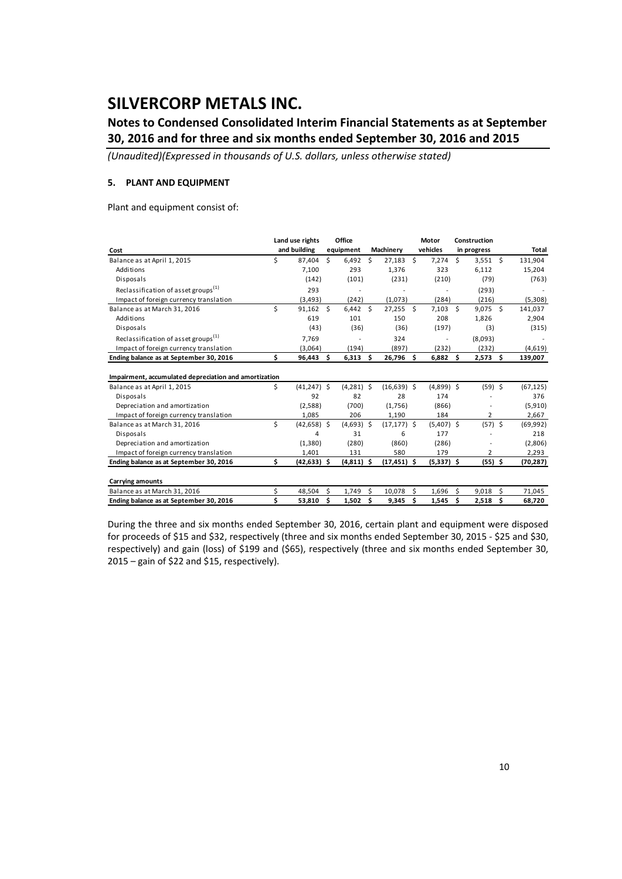### **Notes to Condensed Consolidated Interim Financial Statements as at September 30, 2016 and for three and six months ended September 30, 2016 and 2015**

*(Unaudited)(Expressed in thousands of U.S. dollars, unless otherwise stated)*

### **5. PLANT AND EQUIPMENT**

Plant and equipment consist of:

|                                                       |    | Land use rights |    | Office       |               |                |    | Motor        |     | Construction |    |              |
|-------------------------------------------------------|----|-----------------|----|--------------|---------------|----------------|----|--------------|-----|--------------|----|--------------|
| Cost                                                  |    | and building    |    | equipment    |               | Machinery      |    | vehicles     |     | in progress  |    | <b>Total</b> |
| Balance as at April 1, 2015                           | \$ | 87,404          | Ŝ. | 6,492        | \$            | $27,183$ \$    |    | 7,274        | Ŝ.  | $3,551$ \$   |    | 131,904      |
| Additions                                             |    | 7,100           |    | 293          |               | 1,376          |    | 323          |     | 6,112        |    | 15,204       |
| Disposals                                             |    | (142)           |    | (101)        |               | (231)          |    | (210)        |     | (79)         |    | (763)        |
| Reclassification of asset groups <sup>(1)</sup>       |    | 293             |    |              |               |                |    |              |     | (293)        |    |              |
| Impact of foreign currency translation                |    | (3, 493)        |    | (242)        |               | (1,073)        |    | (284)        |     | (216)        |    | (5,308)      |
| Balance as at March 31, 2016                          | \$ | 91,162          | Ŝ. | 6,442        | <sup>\$</sup> | $27,255$ \$    |    | 7,103        | Ś.  | $9,075$ \$   |    | 141,037      |
| Additions                                             |    | 619             |    | 101          |               | 150            |    | 208          |     | 1,826        |    | 2,904        |
| Disposals                                             |    | (43)            |    | (36)         |               | (36)           |    | (197)        |     | (3)          |    | (315)        |
| Reclassification of asset groups <sup>(1)</sup>       |    | 7.769           |    |              |               | 324            |    | ÷,           |     | (8,093)      |    |              |
| Impact of foreign currency translation                |    | (3,064)         |    | (194)        |               | (897)          |    | (232)        |     | (232)        |    | (4,619)      |
| Ending balance as at September 30, 2016               | \$ | 96,443          | Ŝ. | 6,313        | \$            | 26,796 \$      |    | 6,882        | \$. | 2,573        | Ŝ. | 139,007      |
| Impairment, accumulated depreciation and amortization |    |                 |    |              |               |                |    |              |     |              |    |              |
| Balance as at April 1, 2015                           | \$ | $(41, 247)$ \$  |    | $(4,281)$ \$ |               | $(16,639)$ \$  |    | $(4,899)$ \$ |     | $(59)$ \$    |    | (67, 125)    |
| Disposals                                             |    | 92              |    | 82           |               | 28             |    | 174          |     |              |    | 376          |
| Depreciation and amortization                         |    | (2,588)         |    | (700)        |               | (1,756)        |    | (866)        |     |              |    | (5,910)      |
| Impact of foreign currency translation                |    | 1,085           |    | 206          |               | 1,190          |    | 184          |     | 2            |    | 2,667        |
| Balance as at March 31, 2016                          | \$ | $(42, 658)$ \$  |    | $(4,693)$ \$ |               | $(17, 177)$ \$ |    | $(5,407)$ \$ |     | $(57)$ \$    |    | (69, 992)    |
| Disposals                                             |    | 4               |    | 31           |               | 6              |    | 177          |     |              |    | 218          |
| Depreciation and amortization                         |    | (1,380)         |    | (280)        |               | (860)          |    | (286)        |     |              |    | (2,806)      |
| Impact of foreign currency translation                |    | 1,401           |    | 131          |               | 580            |    | 179          |     | 2            |    | 2,293        |
| Ending balance as at September 30, 2016               | \$ | $(42, 633)$ \$  |    | $(4,811)$ \$ |               | $(17, 451)$ \$ |    | $(5,337)$ \$ |     | $(55)$ \$    |    | (70, 287)    |
| <b>Carrying amounts</b>                               |    |                 |    |              |               |                |    |              |     |              |    |              |
| Balance as at March 31, 2016                          | \$ | 48,504          | \$ | 1.749        | Ś             | 10,078         | Ś  | 1,696        | \$  | 9,018        | Ŝ. | 71,045       |
| Ending balance as at September 30, 2016               | Ś  | 53,810          | Ś  | 1,502        | Ś             | 9,345          | \$ | 1.545        | \$  | 2,518        | \$ | 68,720       |

During the three and six months ended September 30, 2016, certain plant and equipment were disposed for proceeds of \$15 and \$32, respectively (three and six months ended September 30, 2015 ‐ \$25 and \$30, respectively) and gain (loss) of \$199 and (\$65), respectively (three and six months ended September 30, 2015 – gain of \$22 and \$15, respectively).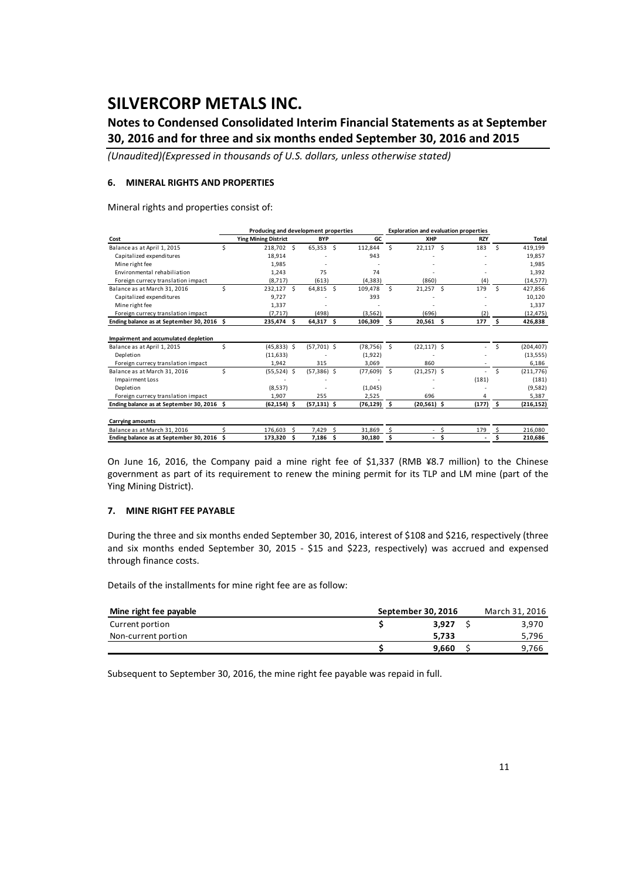### **Notes to Condensed Consolidated Interim Financial Statements as at September 30, 2016 and for three and six months ended September 30, 2016 and 2015**

*(Unaudited)(Expressed in thousands of U.S. dollars, unless otherwise stated)*

#### **6. MINERAL RIGHTS AND PROPERTIES**

Mineral rights and properties consist of:

| Producing and development properties<br><b>Exploration and evaluation properties</b> |    |                             |    |                |     |           |      |                |   |            |              |            |
|--------------------------------------------------------------------------------------|----|-----------------------------|----|----------------|-----|-----------|------|----------------|---|------------|--------------|------------|
| Cost                                                                                 |    | <b>Ying Mining District</b> |    | <b>BYP</b>     |     | GC        |      | <b>XHP</b>     |   | <b>RZY</b> |              | Total      |
| Balance as at April 1, 2015                                                          | Ś  | 218,702 \$                  |    | 65,353         | -S  | 112.844   | Ś.   | $22,117$ \$    |   | 183        | Ś.           | 419,199    |
| Capitalized expenditures                                                             |    | 18,914                      |    |                |     | 943       |      |                |   |            |              | 19,857     |
| Mine right fee                                                                       |    | 1,985                       |    |                |     |           |      |                |   |            |              | 1,985      |
| Environmental rehabiliation                                                          |    | 1,243                       |    | 75             |     | 74        |      |                |   |            |              | 1,392      |
| Foreign currecy translation impact                                                   |    | (8,717)                     |    | (613)          |     | (4, 383)  |      | (860)          |   | (4)        |              | (14, 577)  |
| Balance as at March 31, 2016                                                         | Ś  | 232,127 \$                  |    | 64,815 \$      |     | 109.478   | Ŝ.   | $21,257$ \$    |   | 179        | Ŝ.           | 427,856    |
| Capitalized expenditures                                                             |    | 9,727                       |    |                |     | 393       |      |                |   |            |              | 10,120     |
| Mine right fee                                                                       |    | 1,337                       |    |                |     |           |      |                |   |            |              | 1,337      |
| Foreign currecy translation impact                                                   |    | (7, 717)                    |    | (498)          |     | (3, 562)  |      | (696)          |   | (2)        |              | (12, 475)  |
| Ending balance as at September 30, 2016 \$                                           |    | 235,474 \$                  |    | $64,317$ \$    |     | 106,309   | - \$ | $20,561$ \$    |   | 177        | $\mathsf{S}$ | 426,838    |
| Impairment and accumulated depletion                                                 |    |                             |    |                |     |           |      |                |   |            |              |            |
| Balance as at April 1, 2015                                                          | Ś  | $(45,833)$ \$               |    | $(57,701)$ \$  |     | (78, 756) | - Ś  | $(22, 117)$ \$ |   |            | Ś            | (204, 407) |
| Depletion                                                                            |    | (11, 633)                   |    |                |     | (1,922)   |      |                |   |            |              | (13, 555)  |
| Foreign currecy translation impact                                                   |    | 1,942                       |    | 315            |     | 3,069     |      | 860            |   |            |              | 6,186      |
| Balance as at March 31, 2016                                                         | Ś  | $(55,524)$ \$               |    | $(57,386)$ \$  |     | (77, 609) | -Ś   | $(21,257)$ \$  |   |            | Ś            | (211,776)  |
| Impairment Loss                                                                      |    |                             |    |                |     |           |      |                |   | (181)      |              | (181)      |
| Depletion                                                                            |    | (8,537)                     |    |                |     | (1,045)   |      |                |   |            |              | (9,582)    |
| Foreign currecy translation impact                                                   |    | 1.907                       |    | 255            |     | 2.525     |      | 696            |   |            |              | 5,387      |
| Ending balance as at September 30, 2016 \$                                           |    | $(62, 154)$ \$              |    | $(57, 131)$ \$ |     | (76,129)  | - S  | $(20,561)$ \$  |   | (177)      | - \$         | (216, 152) |
| <b>Carrying amounts</b>                                                              |    |                             |    |                |     |           |      |                |   |            |              |            |
| Balance as at March 31, 2016                                                         |    | 176.603                     | -Ś | 7,429          | Ŝ.  | 31.869    | Š.   |                | Ś | 179        |              | 216,080    |
| Ending balance as at September 30, 2016                                              | Ś. | 173,320                     | Ŝ. | 7.186          | \$. | 30,180    | Ś    |                | Ś |            |              | 210.686    |

On June 16, 2016, the Company paid a mine right fee of \$1,337 (RMB ¥8.7 million) to the Chinese government as part of its requirement to renew the mining permit for its TLP and LM mine (part of the Ying Mining District).

#### **7. MINE RIGHT FEE PAYABLE**

During the three and six months ended September 30, 2016, interest of \$108 and \$216, respectively (three and six months ended September 30, 2015 - \$15 and \$223, respectively) was accrued and expensed through finance costs.

Details of the installments for mine right fee are as follow:

| Mine right fee payable | September 30, 2016 | March 31, 2016 |
|------------------------|--------------------|----------------|
| Current portion        | 3.927              | 3.970          |
| Non-current portion    | 5.733              | 5.796          |
|                        | 9.660              | 9.766          |

Subsequent to September 30, 2016, the mine right fee payable was repaid in full.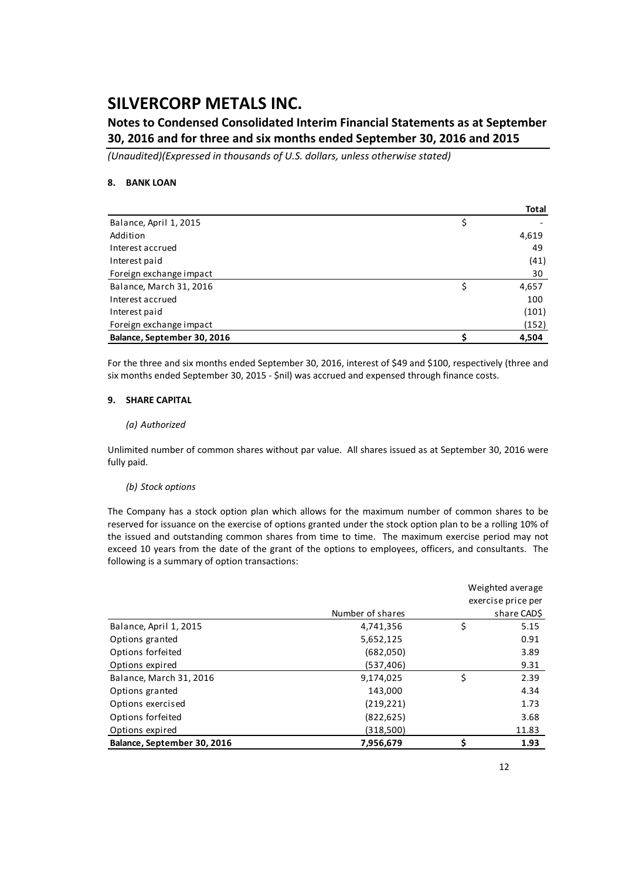### **Notes to Condensed Consolidated Interim Financial Statements as at September 30, 2016 and for three and six months ended September 30, 2016 and 2015**

*(Unaudited)(Expressed in thousands of U.S. dollars, unless otherwise stated)*

### **8. BANK LOAN**

|                             | Total |
|-----------------------------|-------|
| Balance, April 1, 2015      | \$    |
| Addition                    | 4,619 |
| Interest accrued            | 49    |
| Interest paid               | (41)  |
| Foreign exchange impact     | 30    |
| Balance, March 31, 2016     | 4,657 |
| Interest accrued            | 100   |
| Interest paid               | (101) |
| Foreign exchange impact     | (152) |
| Balance, September 30, 2016 | 4,504 |

For the three and six months ended September 30, 2016, interest of \$49 and \$100, respectively (three and six months ended September 30, 2015 ‐ \$nil) was accrued and expensed through finance costs.

#### **9. SHARE CAPITAL**

#### *(a) Authorized*

Unlimited number of common shares without par value. All shares issued as at September 30, 2016 were fully paid.

### *(b) Stock options*

The Company has a stock option plan which allows for the maximum number of common shares to be reserved for issuance on the exercise of options granted under the stock option plan to be a rolling 10% of the issued and outstanding common shares from time to time. The maximum exercise period may not exceed 10 years from the date of the grant of the options to employees, officers, and consultants. The following is a summary of option transactions:

|                             |                  |    | Weighted average   |
|-----------------------------|------------------|----|--------------------|
|                             |                  |    | exercise price per |
|                             | Number of shares |    | share CAD\$        |
| Balance, April 1, 2015      | 4,741,356        | \$ | 5.15               |
| Options granted             | 5,652,125        |    | 0.91               |
| Options forfeited           | (682,050)        |    | 3.89               |
| Options expired             | (537, 406)       |    | 9.31               |
| Balance, March 31, 2016     | 9,174,025        | Ś  | 2.39               |
| Options granted             | 143,000          |    | 4.34               |
| Options exercised           | (219, 221)       |    | 1.73               |
| Options forfeited           | (822, 625)       |    | 3.68               |
| Options expired             | (318,500)        |    | 11.83              |
| Balance, September 30, 2016 | 7,956,679        | Ś  | 1.93               |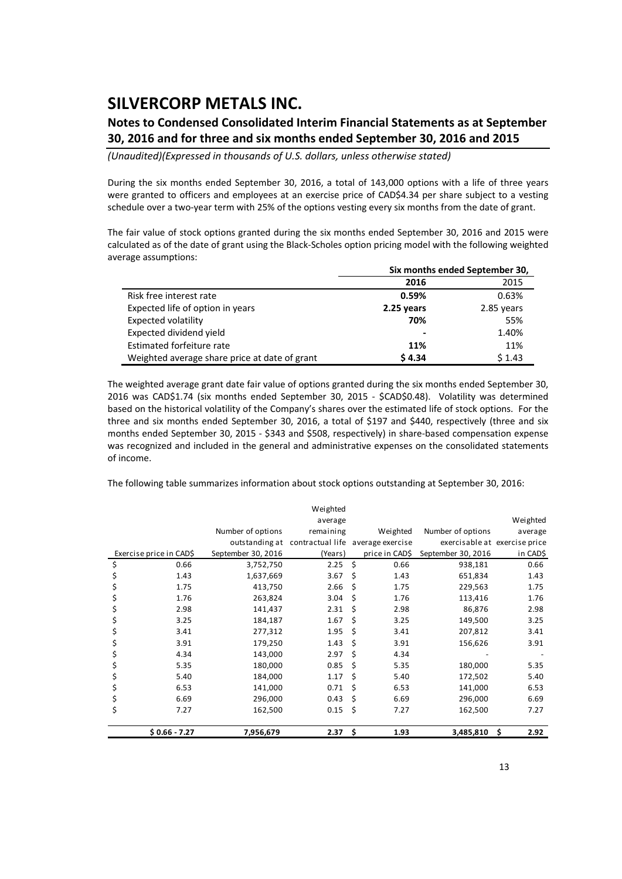### **Notes to Condensed Consolidated Interim Financial Statements as at September 30, 2016 and for three and six months ended September 30, 2016 and 2015**

*(Unaudited)(Expressed in thousands of U.S. dollars, unless otherwise stated)*

During the six months ended September 30, 2016, a total of 143,000 options with a life of three years were granted to officers and employees at an exercise price of CAD\$4.34 per share subject to a vesting schedule over a two-year term with 25% of the options vesting every six months from the date of grant.

The fair value of stock options granted during the six months ended September 30, 2016 and 2015 were calculated as of the date of grant using the Black‐Scholes option pricing model with the following weighted average assumptions:

|                                               |                              | Six months ended September 30, |
|-----------------------------------------------|------------------------------|--------------------------------|
|                                               | 2016                         | 2015                           |
| Risk free interest rate                       | 0.59%                        | 0.63%                          |
| Expected life of option in years              | 2.25 years                   | 2.85 years                     |
| Expected volatility                           | 70%                          | 55%                            |
| Expected dividend yield                       | $\qquad \qquad \blacksquare$ | 1.40%                          |
| Estimated forfeiture rate                     | 11%                          | 11%                            |
| Weighted average share price at date of grant | \$4.34                       | \$1.43                         |

The weighted average grant date fair value of options granted during the six months ended September 30, 2016 was CAD\$1.74 (six months ended September 30, 2015 - \$CAD\$0.48). Volatility was determined based on the historical volatility of the Company's shares over the estimated life of stock options. For the three and six months ended September 30, 2016, a total of \$197 and \$440, respectively (three and six months ended September 30, 2015 - \$343 and \$508, respectively) in share-based compensation expense was recognized and included in the general and administrative expenses on the consolidated statements of income.

The following table summarizes information about stock options outstanding at September 30, 2016:

|                         |                    | Weighted                                         |                    |                |                               |            |
|-------------------------|--------------------|--------------------------------------------------|--------------------|----------------|-------------------------------|------------|
|                         |                    | average                                          |                    |                |                               | Weighted   |
|                         | Number of options  | remaining                                        |                    | Weighted       | Number of options             | average    |
|                         |                    | outstanding at contractual life average exercise |                    |                | exercisable at exercise price |            |
| Exercise price in CAD\$ | September 30, 2016 | (Years)                                          |                    | price in CAD\$ | September 30, 2016            | in CAD\$   |
| \$<br>0.66              | 3,752,750          | 2.25                                             | $\mathsf{\hat{S}}$ | 0.66           | 938,181                       | 0.66       |
| 1.43                    | 1,637,669          | 3.67                                             | \$                 | 1.43           | 651,834                       | 1.43       |
| 1.75                    | 413,750            | 2.66                                             | \$                 | 1.75           | 229,563                       | 1.75       |
| 1.76<br>Ş               | 263,824            | 3.04                                             | \$                 | 1.76           | 113,416                       | 1.76       |
| 2.98                    | 141,437            | 2.31                                             | Ś.                 | 2.98           | 86,876                        | 2.98       |
| 3.25<br>Ş               | 184,187            | 1.67                                             | Ś                  | 3.25           | 149,500                       | 3.25       |
| 3.41                    | 277,312            | 1.95                                             | Ś                  | 3.41           | 207,812                       | 3.41       |
| 3.91<br>Ş               | 179,250            | 1.43                                             | \$                 | 3.91           | 156,626                       | 3.91       |
| 4.34                    | 143,000            | 2.97                                             | Ś                  | 4.34           |                               |            |
| 5.35                    | 180,000            | 0.85                                             | Ś                  | 5.35           | 180,000                       | 5.35       |
| 5.40                    | 184,000            | 1.17                                             | Ś                  | 5.40           | 172,502                       | 5.40       |
| 6.53<br>Ş               | 141,000            | 0.71                                             | Ś.                 | 6.53           | 141,000                       | 6.53       |
| 6.69<br>\$              | 296,000            | 0.43                                             | \$                 | 6.69           | 296,000                       | 6.69       |
| \$<br>7.27              | 162,500            | 0.15                                             | -\$                | 7.27           | 162,500                       | 7.27       |
| $$0.66 - 7.27$          | 7,956,679          | 2.37                                             | -\$                | 1.93           | 3,485,810                     | \$<br>2.92 |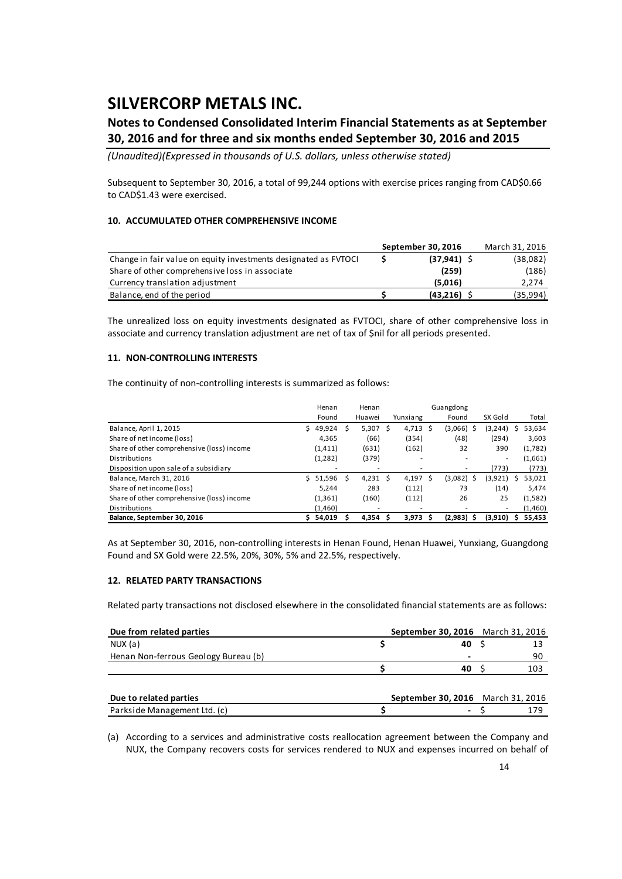### **Notes to Condensed Consolidated Interim Financial Statements as at September 30, 2016 and for three and six months ended September 30, 2016 and 2015**

*(Unaudited)(Expressed in thousands of U.S. dollars, unless otherwise stated)*

Subsequent to September 30, 2016, a total of 99,244 options with exercise prices ranging from CAD\$0.66 to CAD\$1.43 were exercised.

#### **10. ACCUMULATED OTHER COMPREHENSIVE INCOME**

|                                                                 | September 30, 2016 | March 31, 2016 |
|-----------------------------------------------------------------|--------------------|----------------|
| Change in fair value on equity investments designated as FVTOCI | $(37, 941)$ \$     | (38,082)       |
| Share of other comprehensive loss in associate                  | (259)              | (186)          |
| Currency translation adjustment                                 | (5.016)            | 2.274          |
| Balance, end of the period                                      | (43.216)           | (35, 994)      |

The unrealized loss on equity investments designated as FVTOCI, share of other comprehensive loss in associate and currency translation adjustment are net of tax of \$nil for all periods presented.

#### **11. NON‐CONTROLLING INTERESTS**

The continuity of non-controlling interests is summarized as follows:

|                                            |    | Henan    |   | Henan      | Guangdong |                    |  |              |          |             |
|--------------------------------------------|----|----------|---|------------|-----------|--------------------|--|--------------|----------|-------------|
|                                            |    | Found    |   | Huawei     |           | Yunxiang           |  | Found        | SX Gold  | Total       |
| Balance, April 1, 2015                     | S. | 49,924   |   | 5,307      | -S        | $4,713$ \$         |  | (3,066)<br>S | (3, 244) | 53,634      |
| Share of net income (loss)                 |    | 4.365    |   | (66)       |           | (354)              |  | (48)         | (294)    | 3,603       |
| Share of other comprehensive (loss) income |    | (1, 411) |   | (631)      |           | (162)              |  | 32           | 390      | (1,782)     |
| Distributions                              |    | (1,282)  |   | (379)      |           | ۰                  |  |              | ۰        | (1,661)     |
| Disposition upon sale of a subsidiary      |    |          |   |            |           |                    |  |              | (773)    | (773)       |
| Balance, March 31, 2016                    |    | 51,596   | S | $4,231$ \$ |           | 4,197 \$           |  | $(3,082)$ \$ | (3,921)  | 53,021<br>S |
| Share of net income (loss)                 |    | 5.244    |   | 283        |           | (112)              |  | 73           | (14)     | 5,474       |
| Share of other comprehensive (loss) income |    | (1, 361) |   | (160)      |           | (112)              |  | 26           | 25       | (1,582)     |
| Distributions                              |    | (1,460)  |   |            |           | ۰                  |  |              | ۰        | (1,460)     |
| Balance, September 30, 2016                |    | 54,019   |   | 4.354      |           | 3.973 <sub>5</sub> |  | (2,983)      | (3,910)  | 55,453      |

As at September 30, 2016, non‐controlling interests in Henan Found, Henan Huawei, Yunxiang, Guangdong Found and SX Gold were 22.5%, 20%, 30%, 5% and 22.5%, respectively.

#### **12. RELATED PARTY TRANSACTIONS**

Related party transactions not disclosed elsewhere in the consolidated financial statements are as follows:

| Due from related parties             | September 30, 2016 March 31, 2016 |    |     |
|--------------------------------------|-----------------------------------|----|-----|
| NUX (a)                              |                                   | 40 |     |
| Henan Non-ferrous Geology Bureau (b) |                                   |    | 90  |
|                                      |                                   | 40 | 103 |
|                                      |                                   |    |     |
| Due to related parties               | September 30, 2016 March 31, 2016 |    |     |
| Parkside Management Ltd. (c)         |                                   |    | 179 |

(a) According to a services and administrative costs reallocation agreement between the Company and NUX, the Company recovers costs for services rendered to NUX and expenses incurred on behalf of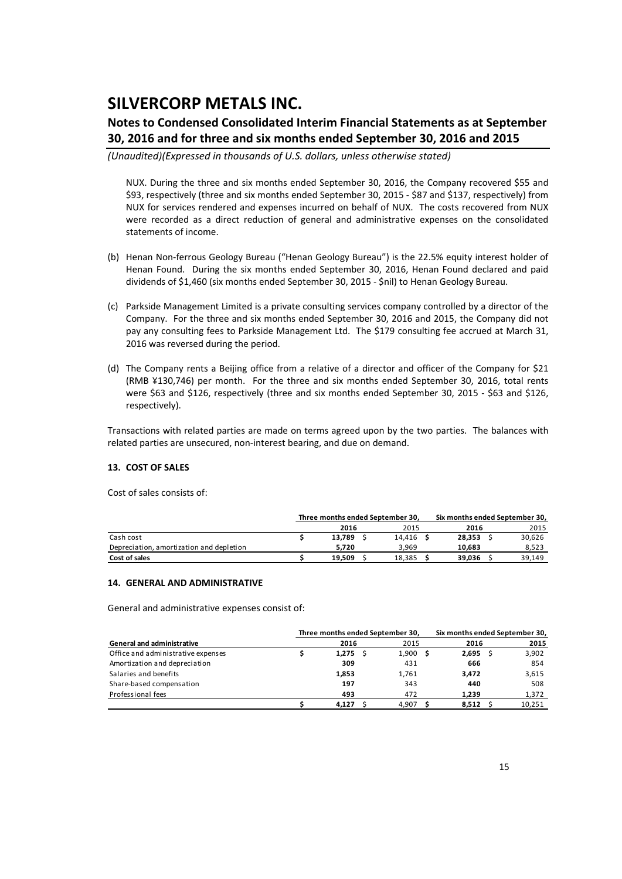### **Notes to Condensed Consolidated Interim Financial Statements as at September 30, 2016 and for three and six months ended September 30, 2016 and 2015**

*(Unaudited)(Expressed in thousands of U.S. dollars, unless otherwise stated)*

NUX. During the three and six months ended September 30, 2016, the Company recovered \$55 and \$93, respectively (three and six months ended September 30, 2015 ‐ \$87 and \$137, respectively) from NUX for services rendered and expenses incurred on behalf of NUX. The costs recovered from NUX were recorded as a direct reduction of general and administrative expenses on the consolidated statements of income.

- (b) Henan Non‐ferrous Geology Bureau ("Henan Geology Bureau") is the 22.5% equity interest holder of Henan Found. During the six months ended September 30, 2016, Henan Found declared and paid dividends of \$1,460 (six months ended September 30, 2015 ‐ \$nil) to Henan Geology Bureau.
- (c) Parkside Management Limited is a private consulting services company controlled by a director of the Company. For the three and six months ended September 30, 2016 and 2015, the Company did not pay any consulting fees to Parkside Management Ltd. The \$179 consulting fee accrued at March 31, 2016 was reversed during the period.
- (d) The Company rents a Beijing office from a relative of a director and officer of the Company for \$21 (RMB ¥130,746) per month. For the three and six months ended September 30, 2016, total rents were \$63 and \$126, respectively (three and six months ended September 30, 2015 - \$63 and \$126, respectively).

Transactions with related parties are made on terms agreed upon by the two parties. The balances with related parties are unsecured, non‐interest bearing, and due on demand.

### **13. COST OF SALES**

Cost of sales consists of:

|                                          | Three months ended September 30, |        | Six months ended September 30, |        |  |  |
|------------------------------------------|----------------------------------|--------|--------------------------------|--------|--|--|
|                                          | 2016                             | 2015   | 2016                           | 2015   |  |  |
| Cash cost                                | 13.789                           | 14.416 | 28.353                         | 30,626 |  |  |
| Depreciation, amortization and depletion | 5.720                            | 3.969  | 10.683                         | 8,523  |  |  |
| Cost of sales                            | 19.509                           | 18.385 | 39.036                         | 39.149 |  |  |

#### **14. GENERAL AND ADMINISTRATIVE**

General and administrative expenses consist of:

|                                    | Three months ended September 30, |       | Six months ended September 30, |        |
|------------------------------------|----------------------------------|-------|--------------------------------|--------|
| <b>General and administrative</b>  | 2016                             | 2015  | 2016                           | 2015   |
| Office and administrative expenses | 1,275                            | 1,900 | $2,695$ \$                     | 3,902  |
| Amortization and depreciation      | 309                              | 431   | 666                            | 854    |
| Salaries and benefits              | 1,853                            | 1.761 | 3.472                          | 3,615  |
| Share-based compensation           | 197                              | 343   | 440                            | 508    |
| Professional fees                  | 493                              | 472   | 1.239                          | 1,372  |
|                                    | 4.127                            | 4.907 | 8.512                          | 10,251 |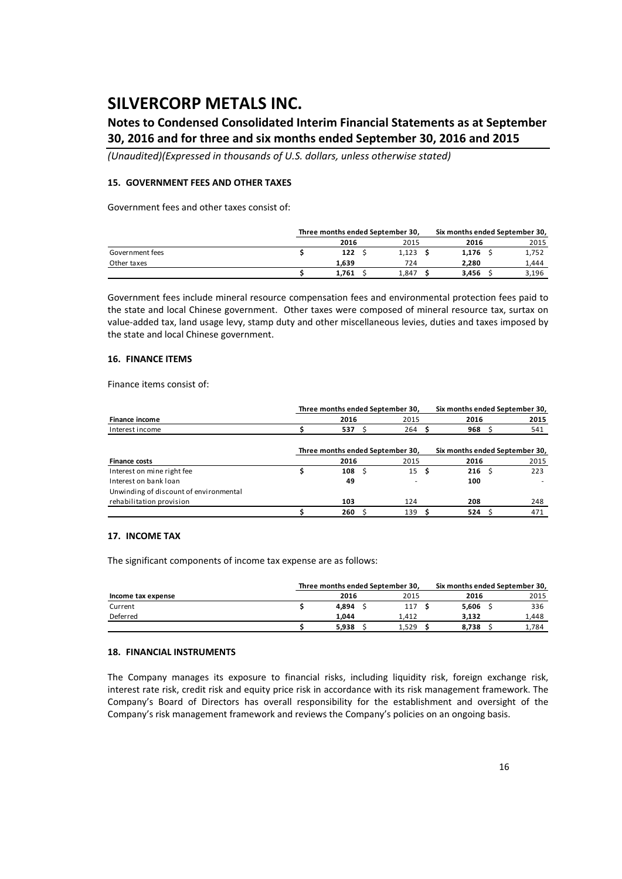### **Notes to Condensed Consolidated Interim Financial Statements as at September 30, 2016 and for three and six months ended September 30, 2016 and 2015**

*(Unaudited)(Expressed in thousands of U.S. dollars, unless otherwise stated)*

### **15. GOVERNMENT FEES AND OTHER TAXES**

Government fees and other taxes consist of:

|                 | Three months ended September 30, |       |  |       |  | Six months ended September 30, |  |       |  |
|-----------------|----------------------------------|-------|--|-------|--|--------------------------------|--|-------|--|
|                 |                                  | 2016  |  | 2015  |  | 2016                           |  | 2015  |  |
| Government fees |                                  | 122   |  | 1.123 |  | 1.176                          |  | 1,752 |  |
| Other taxes     |                                  | 1.639 |  | 724   |  | 2.280                          |  | 1.444 |  |
|                 |                                  | 1.761 |  | 1.847 |  | 3.456                          |  | 3,196 |  |

Government fees include mineral resource compensation fees and environmental protection fees paid to the state and local Chinese government. Other taxes were composed of mineral resource tax, surtax on value-added tax, land usage levy, stamp duty and other miscellaneous levies, duties and taxes imposed by the state and local Chinese government.

#### **16. FINANCE ITEMS**

Finance items consist of:

|                                        | Three months ended September 30, |      | Six months ended September 30, |                                  |                  |  |                                |
|----------------------------------------|----------------------------------|------|--------------------------------|----------------------------------|------------------|--|--------------------------------|
| <b>Finance income</b>                  |                                  | 2016 |                                | 2015                             | 2016             |  | 2015                           |
| Interest income                        |                                  | 537  |                                | 264                              | 968              |  | 541                            |
|                                        |                                  |      |                                | Three months ended September 30, |                  |  | Six months ended September 30, |
| <b>Finance costs</b>                   |                                  | 2016 |                                | 2015                             | 2016             |  | 2015                           |
| Interest on mine right fee             |                                  | 108  |                                | $15 \quad$ \$                    | 216 <sup>5</sup> |  | 223                            |
| Interest on bank loan                  |                                  | 49   |                                | ۰                                | 100              |  |                                |
| Unwinding of discount of environmental |                                  |      |                                |                                  |                  |  |                                |
| rehabilitation provision               |                                  | 103  |                                | 124                              | 208              |  | 248                            |
|                                        |                                  | 260  |                                | 139                              | 524              |  | 471                            |

#### **17. INCOME TAX**

The significant components of income tax expense are as follows:

|                    | Three months ended September 30. |       | Six months ended September 30. |       |
|--------------------|----------------------------------|-------|--------------------------------|-------|
| Income tax expense | 2016                             | 2015  | 2016                           | 2015  |
| Current            | 4.894                            | 117   | 5.606                          | 336   |
| Deferred           | 1.044                            | 1.412 | 3.132                          | 1.448 |
|                    | 5.938                            | 1.529 | 8.738                          | 1.784 |

#### **18. FINANCIAL INSTRUMENTS**

The Company manages its exposure to financial risks, including liquidity risk, foreign exchange risk, interest rate risk, credit risk and equity price risk in accordance with its risk management framework. The Company's Board of Directors has overall responsibility for the establishment and oversight of the Company's risk management framework and reviews the Company's policies on an ongoing basis.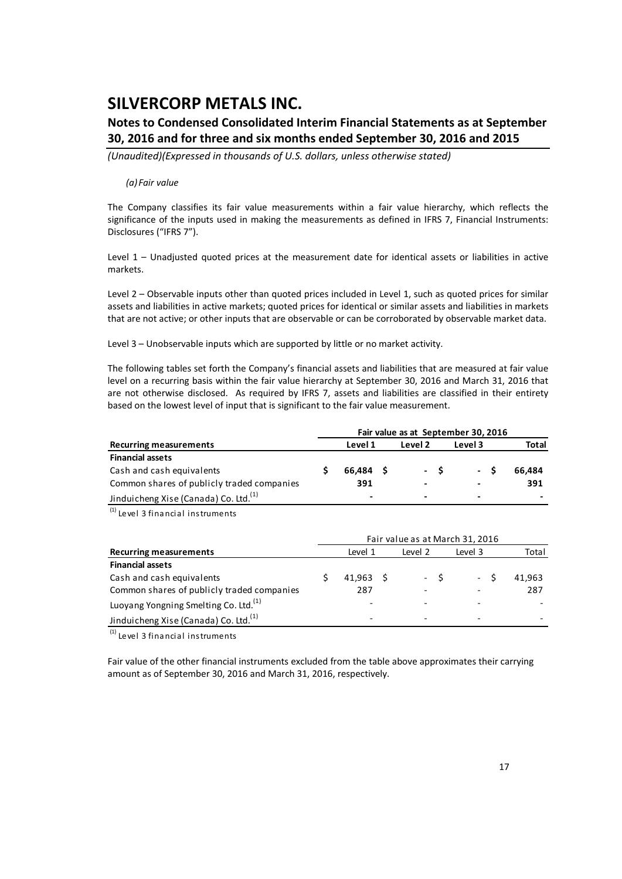### **Notes to Condensed Consolidated Interim Financial Statements as at September 30, 2016 and for three and six months ended September 30, 2016 and 2015**

*(Unaudited)(Expressed in thousands of U.S. dollars, unless otherwise stated)*

#### *(a) Fair value*

The Company classifies its fair value measurements within a fair value hierarchy, which reflects the significance of the inputs used in making the measurements as defined in IFRS 7, Financial Instruments: Disclosures ("IFRS 7").

Level 1 – Unadjusted quoted prices at the measurement date for identical assets or liabilities in active markets.

Level 2 – Observable inputs other than quoted prices included in Level 1, such as quoted prices for similar assets and liabilities in active markets; quoted prices for identical or similar assets and liabilities in markets that are not active; or other inputs that are observable or can be corroborated by observable market data.

Level 3 – Unobservable inputs which are supported by little or no market activity.

The following tables set forth the Company's financial assets and liabilities that are measured at fair value level on a recurring basis within the fair value hierarchy at September 30, 2016 and March 31, 2016 that are not otherwise disclosed. As required by IFRS 7, assets and liabilities are classified in their entirety based on the lowest level of input that is significant to the fair value measurement.

|                                                   |                          |         |     | Fair value as at September 30, 2016 |        |
|---------------------------------------------------|--------------------------|---------|-----|-------------------------------------|--------|
| <b>Recurring measurements</b>                     | Level 1                  | Level 2 |     | Level 3                             | Total  |
| <b>Financial assets</b>                           |                          |         |     |                                     |        |
| Cash and cash equivalents                         | 66.484 \$                |         | - S | $-S$                                | 66.484 |
| Common shares of publicly traded companies        | 391                      | -       |     | -                                   | 391    |
| Jinduicheng Xise (Canada) Co. Ltd. <sup>(1)</sup> | $\overline{\phantom{a}}$ | -       |     | $\blacksquare$                      | -      |

 $(1)$  Level 3 financial instruments

| <b>Recurring measurements</b>                     |  | Level 1                  | Level 2 | Level 3 | Total  |
|---------------------------------------------------|--|--------------------------|---------|---------|--------|
| <b>Financial assets</b>                           |  |                          |         |         |        |
| Cash and cash equivalents                         |  | $41.963 \quad S$         | $-S$    | $-S$    | 41.963 |
| Common shares of publicly traded companies        |  | 287                      |         |         | 287    |
| Luoyang Yongning Smelting Co. Ltd. <sup>(1)</sup> |  |                          |         |         |        |
| Jinduicheng Xise (Canada) Co. Ltd. <sup>(1)</sup> |  | $\overline{\phantom{0}}$ |         |         |        |

 $<sup>(1)</sup>$  Level 3 financial instruments</sup>

Fair value of the other financial instruments excluded from the table above approximates their carrying amount as of September 30, 2016 and March 31, 2016, respectively.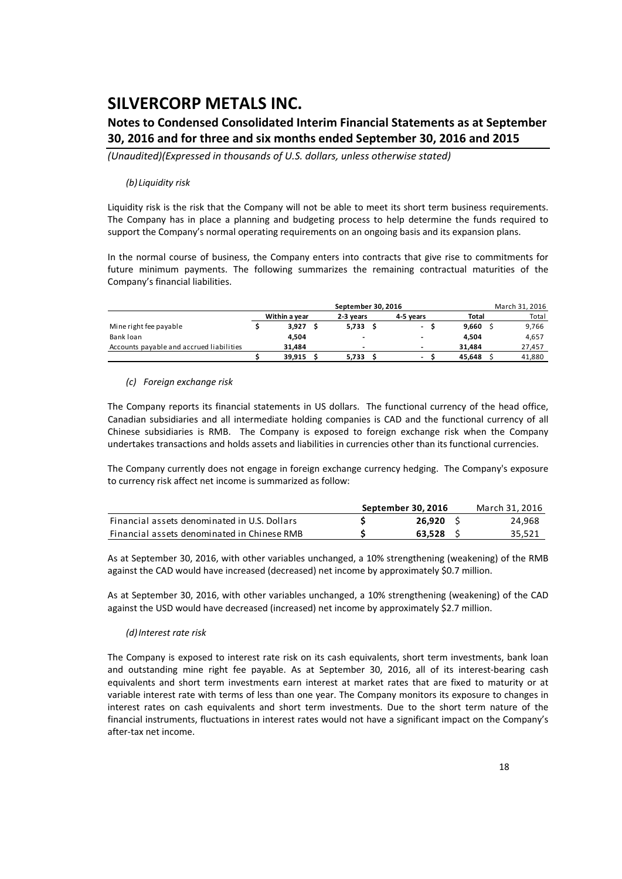### **Notes to Condensed Consolidated Interim Financial Statements as at September 30, 2016 and for three and six months ended September 30, 2016 and 2015**

*(Unaudited)(Expressed in thousands of U.S. dollars, unless otherwise stated)*

#### *(b) Liquidity risk*

Liquidity risk is the risk that the Company will not be able to meet its short term business requirements. The Company has in place a planning and budgeting process to help determine the funds required to support the Company's normal operating requirements on an ongoing basis and its expansion plans.

In the normal course of business, the Company enters into contracts that give rise to commitments for future minimum payments. The following summarizes the remaining contractual maturities of the Company's financial liabilities.

|                                          |               | September 30, 2016 |                          |              | March 31, 2016 |
|------------------------------------------|---------------|--------------------|--------------------------|--------------|----------------|
|                                          | Within a year | 2-3 years          | 4-5 vears                | <b>Total</b> | Total          |
| Mine right fee payable                   | 3,927         | 5,733              | $\overline{\phantom{a}}$ | 9.660        | 9,766          |
| Bank loan                                | 4.504         |                    | -                        | 4.504        | 4,657          |
| Accounts payable and accrued liabilities | 31.484        |                    | -                        | 31.484       | 27,457         |
|                                          | 39.915        | 5.733              | $\overline{\phantom{0}}$ | 45.648       | 41,880         |

#### *(c) Foreign exchange risk*

The Company reports its financial statements in US dollars. The functional currency of the head office, Canadian subsidiaries and all intermediate holding companies is CAD and the functional currency of all Chinese subsidiaries is RMB. The Company is exposed to foreign exchange risk when the Company undertakes transactions and holds assets and liabilities in currencies other than its functional currencies.

The Company currently does not engage in foreign exchange currency hedging. The Company's exposure to currency risk affect net income is summarized as follow:

|                                              | September 30, 2016 | March 31, 2016 |
|----------------------------------------------|--------------------|----------------|
| Financial assets denominated in U.S. Dollars | 26.920             | 24.968         |
| Financial assets denominated in Chinese RMB  | 63.528             | 35,521         |

As at September 30, 2016, with other variables unchanged, a 10% strengthening (weakening) of the RMB against the CAD would have increased (decreased) net income by approximately \$0.7 million.

As at September 30, 2016, with other variables unchanged, a 10% strengthening (weakening) of the CAD against the USD would have decreased (increased) net income by approximately \$2.7 million.

### *(d)Interest rate risk*

The Company is exposed to interest rate risk on its cash equivalents, short term investments, bank loan and outstanding mine right fee payable. As at September 30, 2016, all of its interest-bearing cash equivalents and short term investments earn interest at market rates that are fixed to maturity or at variable interest rate with terms of less than one year. The Company monitors its exposure to changes in interest rates on cash equivalents and short term investments. Due to the short term nature of the financial instruments, fluctuations in interest rates would not have a significant impact on the Company's after‐tax net income.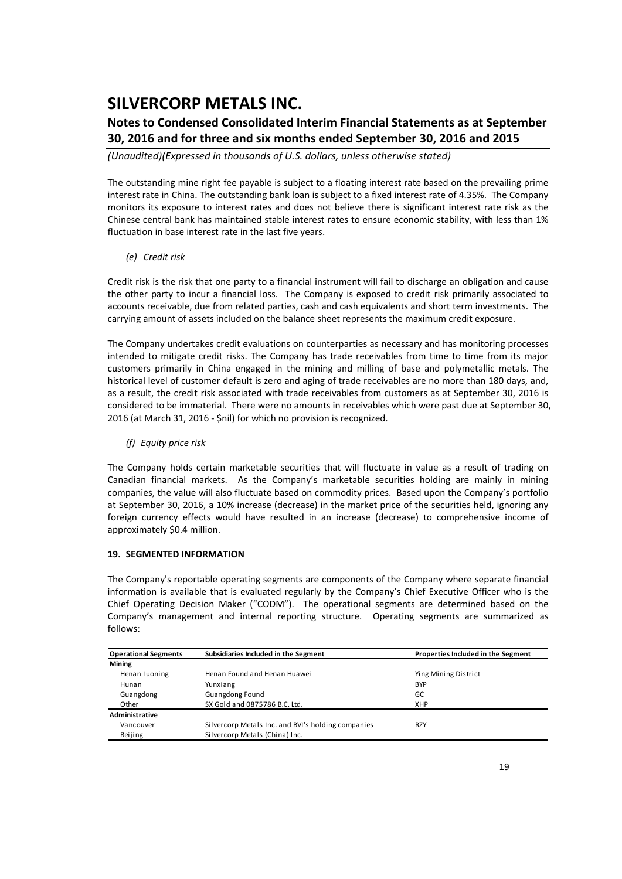### **Notes to Condensed Consolidated Interim Financial Statements as at September 30, 2016 and for three and six months ended September 30, 2016 and 2015**

*(Unaudited)(Expressed in thousands of U.S. dollars, unless otherwise stated)*

The outstanding mine right fee payable is subject to a floating interest rate based on the prevailing prime interest rate in China. The outstanding bank loan is subject to a fixed interest rate of 4.35%. The Company monitors its exposure to interest rates and does not believe there is significant interest rate risk as the Chinese central bank has maintained stable interest rates to ensure economic stability, with less than 1% fluctuation in base interest rate in the last five years.

### *(e) Credit risk*

Credit risk is the risk that one party to a financial instrument will fail to discharge an obligation and cause the other party to incur a financial loss. The Company is exposed to credit risk primarily associated to accounts receivable, due from related parties, cash and cash equivalents and short term investments. The carrying amount of assets included on the balance sheet represents the maximum credit exposure.

The Company undertakes credit evaluations on counterparties as necessary and has monitoring processes intended to mitigate credit risks. The Company has trade receivables from time to time from its major customers primarily in China engaged in the mining and milling of base and polymetallic metals. The historical level of customer default is zero and aging of trade receivables are no more than 180 days, and, as a result, the credit risk associated with trade receivables from customers as at September 30, 2016 is considered to be immaterial. There were no amounts in receivables which were past due at September 30, 2016 (at March 31, 2016 ‐ \$nil) for which no provision is recognized.

### *(f) Equity price risk*

The Company holds certain marketable securities that will fluctuate in value as a result of trading on Canadian financial markets. As the Company's marketable securities holding are mainly in mining companies, the value will also fluctuate based on commodity prices. Based upon the Company's portfolio at September 30, 2016, a 10% increase (decrease) in the market price of the securities held, ignoring any foreign currency effects would have resulted in an increase (decrease) to comprehensive income of approximately \$0.4 million.

### **19. SEGMENTED INFORMATION**

The Company's reportable operating segments are components of the Company where separate financial information is available that is evaluated regularly by the Company's Chief Executive Officer who is the Chief Operating Decision Maker ("CODM"). The operational segments are determined based on the Company's management and internal reporting structure. Operating segments are summarized as follows:

| <b>Operational Segments</b> | Subsidiaries Included in the Segment               | Properties Included in the Segment |  |  |  |  |  |  |
|-----------------------------|----------------------------------------------------|------------------------------------|--|--|--|--|--|--|
| <b>Mining</b>               |                                                    |                                    |  |  |  |  |  |  |
| Henan Luoning               | Henan Found and Henan Huawei                       | Ying Mining District               |  |  |  |  |  |  |
| Hunan                       | Yunxiang                                           | <b>BYP</b>                         |  |  |  |  |  |  |
| Guangdong                   | <b>Guangdong Found</b>                             | GC                                 |  |  |  |  |  |  |
| Other                       | SX Gold and 0875786 B.C. Ltd.                      | <b>XHP</b>                         |  |  |  |  |  |  |
| Administrative              |                                                    |                                    |  |  |  |  |  |  |
| Vancouver                   | Silvercorp Metals Inc. and BVI's holding companies | <b>RZY</b>                         |  |  |  |  |  |  |
| Beijing                     | Silvercorp Metals (China) Inc.                     |                                    |  |  |  |  |  |  |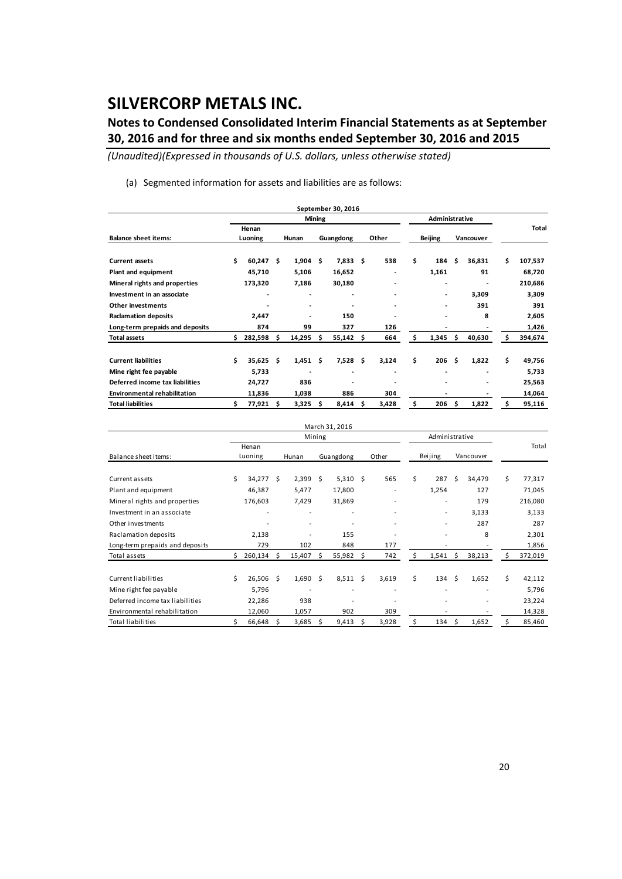### **Notes to Condensed Consolidated Interim Financial Statements as at September 30, 2016 and for three and six months ended September 30, 2016 and 2015**

*(Unaudited)(Expressed in thousands of U.S. dollars, unless otherwise stated)*

(a) Segmented information for assets and liabilities are as follows:

|                                     |    |                  |    |        |               | September 30, 2016       |     |       |                |     |           |    |         |
|-------------------------------------|----|------------------|----|--------|---------------|--------------------------|-----|-------|----------------|-----|-----------|----|---------|
|                                     |    |                  |    |        | <b>Mining</b> |                          |     |       | Administrative |     |           |    |         |
| <b>Balance sheet items:</b>         |    | Henan<br>Luoning |    | Hunan  |               | Guangdong                |     | Other | <b>Beijing</b> |     | Vancouver |    | Total   |
| <b>Current assets</b>               | \$ | 60,247           | Ŝ  | 1,904  | \$            | 7,833                    | \$  | 538   | \$<br>184      | \$  | 36,831    | Ś  | 107,537 |
| Plant and equipment                 |    | 45,710           |    | 5,106  |               | 16,652                   |     | ٠     | 1,161          |     | 91        |    | 68,720  |
| Mineral rights and properties       |    | 173,320          |    | 7,186  |               | 30,180                   |     |       | -              |     | ٠         |    | 210,686 |
| Investment in an associate          |    | $\overline{a}$   |    |        |               | $\overline{\phantom{a}}$ |     | ٠     |                |     | 3,309     |    | 3,309   |
| <b>Other investments</b>            |    |                  |    |        |               |                          |     | ٠     | -              |     | 391       |    | 391     |
| <b>Raclamation deposits</b>         |    | 2,447            |    |        |               | 150                      |     |       | ۰              |     | 8         |    | 2,605   |
| Long-term prepaids and deposits     |    | 874              |    | 99     |               | 327                      |     | 126   |                |     |           |    | 1,426   |
| <b>Total assets</b>                 | \$ | 282,598          | \$ | 14,295 | \$            | 55,142                   | \$  | 664   | \$<br>1,345    | \$  | 40,630    | Ŝ  | 394,674 |
| <b>Current liabilities</b>          | \$ | 35,625           | Ŝ. | 1,451  | \$            | 7,528                    | \$. | 3,124 | \$<br>206      | \$. | 1,822     | \$ | 49,756  |
| Mine right fee payable              |    | 5,733            |    |        |               | -                        |     |       |                |     |           |    | 5,733   |
| Deferred income tax liabilities     |    | 24,727           |    | 836    |               |                          |     |       |                |     |           |    | 25,563  |
| <b>Environmental rehabilitation</b> |    | 11,836           |    | 1,038  |               | 886                      |     | 304   |                |     |           |    | 14,064  |
| <b>Total liabilities</b>            | Ś  | 77,921           | Ŝ  | 3,325  |               | 8,414                    | \$. | 3,428 | \$<br>206      | Ŝ   | 1,822     | Ś  | 95,116  |

|                                 |    |           |      |            |        | March 31, 2016 |    |       |    |                          |      |           |    |         |
|---------------------------------|----|-----------|------|------------|--------|----------------|----|-------|----|--------------------------|------|-----------|----|---------|
|                                 |    |           |      |            | Mining |                |    |       |    | Administrative           |      |           |    |         |
|                                 |    | Henan     |      |            |        |                |    |       |    |                          |      |           |    | Total   |
| Balance sheet items:            |    | Luoning   |      | Hunan      |        | Guangdong      |    | Other |    | Beijing                  |      | Vancouver |    |         |
|                                 |    |           |      |            |        |                |    |       |    |                          |      |           |    |         |
| Current assets                  | \$ | 34,277 \$ |      | $2,399$ \$ |        | $5,310$ \$     |    | 565   | \$ | 287                      | Ŝ.   | 34,479    | \$ | 77,317  |
| Plant and equipment             |    | 46,387    |      | 5,477      |        | 17,800         |    |       |    | 1,254                    |      | 127       |    | 71,045  |
| Mineral rights and properties   |    | 176,603   |      | 7,429      |        | 31,869         |    |       |    |                          |      | 179       |    | 216,080 |
| Investment in an associate      |    |           |      | ۰          |        |                |    |       |    | $\overline{\phantom{a}}$ |      | 3,133     |    | 3,133   |
| Other investments               |    |           |      | ۰          |        |                |    |       |    | $\overline{\phantom{a}}$ |      | 287       |    | 287     |
| Raclamation deposits            |    | 2,138     |      |            |        | 155            |    |       |    |                          |      | 8         |    | 2,301   |
| Long-term prepaids and deposits |    | 729       |      | 102        |        | 848            |    | 177   |    |                          |      |           |    | 1,856   |
| Total assets                    | Ś  | 260,134   | Ŝ.   | 15,407     | Ś.     | 55,982         | Ŝ. | 742   | Ś. | 1,541                    | Ŝ.   | 38,213    | S  | 372,019 |
| Current liabilities             | Ś  | 26,506    | - \$ | 1,690      | Ŝ      | 8,511          | Ŝ. | 3,619 | \$ | 134                      | Ŝ.   | 1,652     | \$ | 42,112  |
| Mine right fee payable          |    | 5,796     |      | ٠          |        |                |    |       |    |                          |      |           |    | 5,796   |
| Deferred income tax liabilities |    | 22,286    |      | 938        |        |                |    |       |    |                          |      |           |    | 23,224  |
| Environmental rehabilitation    |    | 12,060    |      | 1,057      |        | 902            |    | 309   |    |                          |      |           |    | 14,328  |
| <b>Total liabilities</b>        |    | 66,648    | Ŝ.   | 3,685      | Ś      | 9,413          | Ś  | 3,928 | Ś  | 134                      | - \$ | 1,652     | S  | 85,460  |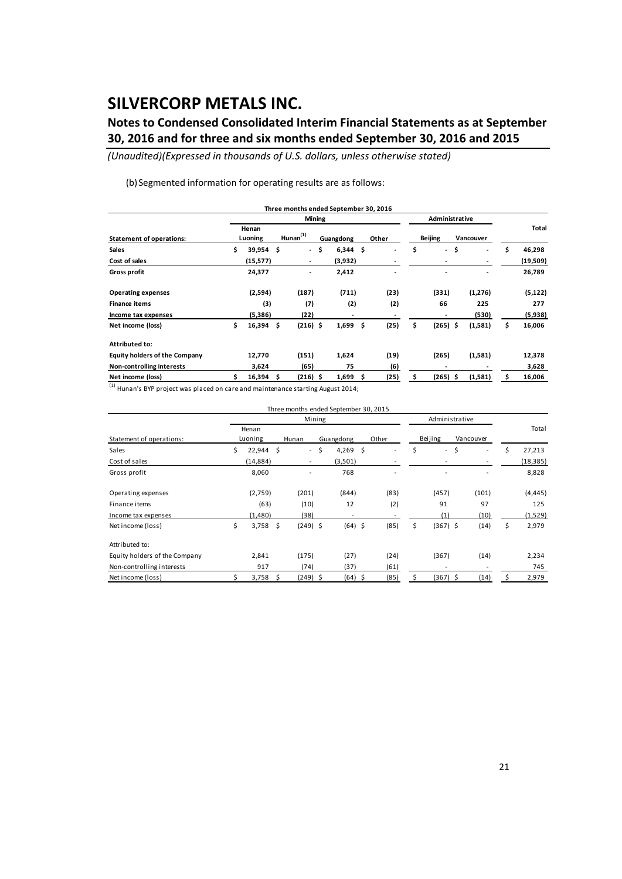### **Notes to Condensed Consolidated Interim Financial Statements as at September 30, 2016 and for three and six months ended September 30, 2016 and 2015**

*(Unaudited)(Expressed in thousands of U.S. dollars, unless otherwise stated)*

(b) Segmented information for operating results are as follows:

|                                      |     |                  |                |                          |        | Three months ended September 30, 2016 |    |       |    |                |                                |     |          |
|--------------------------------------|-----|------------------|----------------|--------------------------|--------|---------------------------------------|----|-------|----|----------------|--------------------------------|-----|----------|
|                                      |     |                  |                |                          | Mining |                                       |    |       |    | Administrative |                                |     |          |
| <b>Statement of operations:</b>      |     | Henan<br>Luoning | $H$ unan $(1)$ |                          |        | Guangdong                             |    | Other |    | <b>Beijing</b> | Vancouver                      |     | Total    |
| <b>Sales</b>                         | \$  | 39,954           | \$.            | $\overline{\phantom{a}}$ | \$     | 6,344                                 | \$ |       | \$ | $\sim$         | \$<br>$\overline{\phantom{a}}$ | \$. | 46,298   |
| Cost of sales                        |     | (15, 577)        |                | $\overline{\phantom{a}}$ |        | (3,932)                               |    |       |    | ٠              | ٠                              |     | (19,509) |
| <b>Gross profit</b>                  |     | 24,377           |                |                          |        | 2,412                                 |    |       |    | ٠              | ٠                              |     | 26,789   |
| <b>Operating expenses</b>            |     | (2,594)          |                | (187)                    |        | (711)                                 |    | (23)  |    | (331)          | (1,276)                        |     | (5, 122) |
| <b>Finance items</b>                 |     | (3)              |                | (7)                      |        | (2)                                   |    | (2)   |    | 66             | 225                            |     | 277      |
| Income tax expenses                  |     | (5,386)          |                | (22)                     |        | ٠                                     |    |       |    | -              | (530)                          |     | (5,938)  |
| Net income (loss)                    | \$. | $16,394$ \$      |                | $(216)$ \$               |        | 1,699                                 | \$ | (25)  | \$ | $(265)$ \$     | (1,581)                        | \$  | 16,006   |
| <b>Attributed to:</b>                |     |                  |                |                          |        |                                       |    |       |    |                |                                |     |          |
| <b>Equity holders of the Company</b> |     | 12,770           |                | (151)                    |        | 1,624                                 |    | (19)  |    | (265)          | (1,581)                        |     | 12,378   |
| Non-controlling interests            |     | 3,624            |                | (65)                     |        | 75                                    |    | (6)   |    |                |                                |     | 3,628    |
| Net income (loss)                    |     | 16,394           | -\$            | $(216)$ \$               |        | 1,699                                 | s  | (25)  | s  | $(265)$ \$     | (1,581)                        |     | 16,006   |

(1) Hunan's BYP project was placed on care and maintenance starting August 2014;

|                               |    |                  |   | Three months ended September 30, 2015 |             |       |    |                          |           |    |           |
|-------------------------------|----|------------------|---|---------------------------------------|-------------|-------|----|--------------------------|-----------|----|-----------|
|                               |    |                  |   | Mining                                |             |       |    | Administrative           |           |    |           |
| Statement of operations:      |    | Henan<br>Luoning |   | Hunan                                 | Guangdong   | Other |    | Beijing                  | Vancouver |    | Total     |
| Sales                         | \$ | 22,944 \$        |   | $\overline{\phantom{a}}$              | \$<br>4,269 | \$    | \$ | $\overline{\phantom{a}}$ | \$        | \$ | 27,213    |
| Cost of sales                 |    | (14, 884)        |   | $\overline{\phantom{a}}$              | (3,501)     |       |    |                          |           |    | (18, 385) |
| Gross profit                  |    | 8,060            |   |                                       | 768         |       |    |                          |           |    | 8,828     |
| Operating expenses            |    | (2,759)          |   | (201)                                 | (844)       | (83)  |    | (457)                    | (101)     |    | (4, 445)  |
| Finance items                 |    | (63)             |   | (10)                                  | 12          | (2)   |    | 91                       | 97        |    | 125       |
| Income tax expenses           |    | (1,480)          |   | (38)                                  |             |       |    | (1)                      | (10)      |    | (1,529)   |
| Net income (loss)             | \$ | $3,758$ \$       |   | $(249)$ \$                            | $(64)$ \$   | (85)  | \$ | $(367)$ \$               | (14)      | \$ | 2,979     |
| Attributed to:                |    |                  |   |                                       |             |       |    |                          |           |    |           |
| Equity holders of the Company |    | 2,841            |   | (175)                                 | (27)        | (24)  |    | (367)                    | (14)      |    | 2,234     |
| Non-controlling interests     |    | 917              |   | (74)                                  | (37)        | (61)  |    |                          |           |    | 745       |
| Net income (loss)             | Ś  | 3,758            | Ŝ | (249) \$                              | (64) \$     | (85)  | Ś  | (367) \$                 | (14)      | Ś  | 2,979     |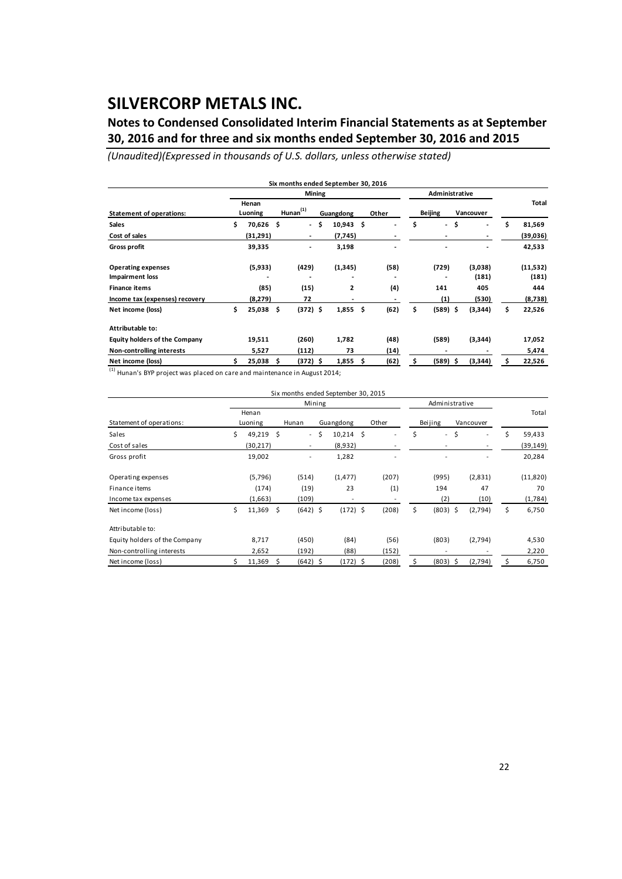### **Notes to Condensed Consolidated Interim Financial Statements as at September 30, 2016 and for three and six months ended September 30, 2016 and 2015**

*(Unaudited)(Expressed in thousands of U.S. dollars, unless otherwise stated)*

|                                      |                  |                |                          | <b>Mining</b> |             |            | Administrative                 |           |    |          |
|--------------------------------------|------------------|----------------|--------------------------|---------------|-------------|------------|--------------------------------|-----------|----|----------|
| <b>Statement of operations:</b>      | Henan<br>Luoning | $H$ unan $(1)$ |                          |               | Guangdong   | Other      | <b>Beijing</b>                 | Vancouver |    | Total    |
| <b>Sales</b>                         | \$<br>70,626 \$  |                | $\overline{\phantom{a}}$ | \$            | $10,943$ \$ |            | \$<br>$\overline{\phantom{a}}$ | \$<br>٠   | \$ | 81,569   |
| Cost of sales                        | (31,291)         |                | $\overline{\phantom{a}}$ |               | (7,745)     |            |                                |           |    | (39,036) |
| Gross profit                         | 39,335           |                | ٠                        |               | 3,198       |            |                                |           |    | 42,533   |
| <b>Operating expenses</b>            | (5,933)          |                | (429)                    |               | (1, 345)    | (58)       | (729)                          | (3,038)   |    | (11,532) |
| <b>Impairment loss</b>               |                  |                |                          |               |             |            |                                | (181)     |    | (181)    |
| <b>Finance items</b>                 | (85)             |                | (15)                     |               | 2           | (4)        | 141                            | 405       |    | 444      |
| Income tax (expenses) recovery       | (8,279)          |                | 72                       |               | ٠           |            | (1)                            | (530)     |    | (8,738)  |
| Net income (loss)                    | \$<br>25,038     | -\$            | $(372)$ \$               |               | 1,855       | \$<br>(62) | \$<br>$(589)$ \$               | (3,344)   | \$ | 22,526   |
| Attributable to:                     |                  |                |                          |               |             |            |                                |           |    |          |
| <b>Equity holders of the Company</b> | 19,511           |                | (260)                    |               | 1,782       | (48)       | (589)                          | (3,344)   |    | 17,052   |
| Non-controlling interests            | 5,527            |                | (112)                    |               | 73          | (14)       |                                |           |    | 5,474    |
| Net income (loss)                    | 25,038           | \$.            | $(372)$ \$               |               | 1,855       | \$<br>(62) | \$<br>$(589)$ \$               | (3,344)   | s  | 22,526   |

 $\frac{(1)}{(1)}$  Hunan's BYP project was placed on care and maintenance in August 2014;

|                               |                  |      | Six months ended September 30, 2015 |        |                          |       |                  |               |    |           |
|-------------------------------|------------------|------|-------------------------------------|--------|--------------------------|-------|------------------|---------------|----|-----------|
|                               |                  |      |                                     | Mining |                          |       | Administrative   |               |    |           |
| Statement of operations:      | Henan<br>Luoning |      | Hunan                               |        | Guangdong                | Other | Beijing          | Vancouver     |    | Total     |
| Sales                         | \$<br>49,219 \$  |      | $\sim$                              | \$     | $10,214$ \$              |       | \$<br>$\sim$     | \$<br>۰       | Ś  | 59,433    |
| Cost of sales                 | (30, 217)        |      | $\overline{\phantom{a}}$            |        | (8,932)                  |       |                  | $\sim$        |    | (39, 149) |
| Gross profit                  | 19,002           |      |                                     |        | 1,282                    |       |                  |               |    | 20,284    |
| Operating expenses            | (5,796)          |      | (514)                               |        | (1, 477)                 | (207) | (995)            | (2,831)       |    | (11,820)  |
| Finance items                 | (174)            |      | (19)                                |        | 23                       | (1)   | 194              | 47            |    | 70        |
| Income tax expenses           | (1,663)          |      | (109)                               |        | $\overline{\phantom{a}}$ |       | (2)              | (10)          |    | (1,784)   |
| Net income (loss)             | \$<br>11,369     | - \$ | $(642)$ \$                          |        | $(172)$ \$               | (208) | \$<br>$(803)$ \$ | (2,794)       | \$ | 6,750     |
| Attributable to:              |                  |      |                                     |        |                          |       |                  |               |    |           |
| Equity holders of the Company | 8,717            |      | (450)                               |        | (84)                     | (56)  | (803)            | (2,794)       |    | 4,530     |
| Non-controlling interests     | 2,652            |      | (192)                               |        | (88)                     | (152) |                  |               |    | 2,220     |
| Net income (loss)             | 11,369           | \$   | $(642)$ \$                          |        | $(172)$ \$               | (208) | \$<br>(803)      | \$<br>(2,794) |    | 6,750     |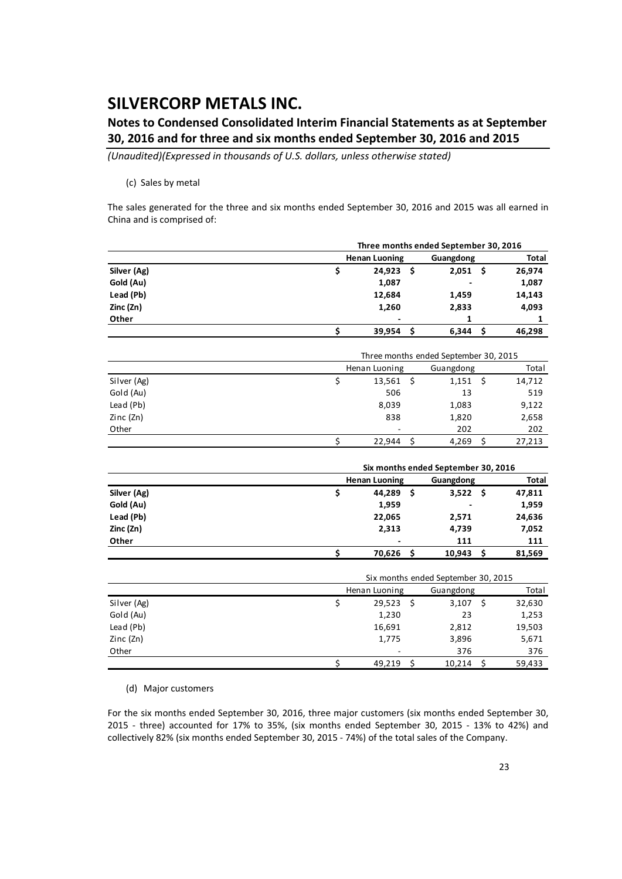### **Notes to Condensed Consolidated Interim Financial Statements as at September 30, 2016 and for three and six months ended September 30, 2016 and 2015**

*(Unaudited)(Expressed in thousands of U.S. dollars, unless otherwise stated)*

#### (c) Sales by metal

The sales generated for the three and six months ended September 30, 2016 and 2015 was all earned in China and is comprised of:

|                        |                      |    | Three months ended September 30, 2016            |     |              |
|------------------------|----------------------|----|--------------------------------------------------|-----|--------------|
|                        | <b>Henan Luoning</b> |    | Guangdong                                        |     | <b>Total</b> |
| Silver (Ag)            | \$<br>24,923         | \$ | 2,051                                            | \$  | 26,974       |
| Gold (Au)              | 1,087                |    |                                                  |     | 1,087        |
| Lead (Pb)              | 12,684               |    | 1,459                                            |     | 14,143       |
| Zinc (Zn)              | 1,260                |    | 2,833                                            |     | 4,093        |
| Other                  |                      |    | 1                                                |     | 1            |
|                        | \$<br>39,954         | \$ | 6,344                                            | \$. | 46,298       |
|                        |                      |    |                                                  |     |              |
|                        |                      |    | Three months ended September 30, 2015            |     |              |
|                        | Henan Luoning        |    | Guangdong                                        |     | Total        |
| Silver (Ag)            | \$<br>13,561         | \$ | 1,151                                            | \$  | 14,712       |
| Gold (Au)              | 506                  |    | 13                                               |     | 519          |
| Lead (Pb)              | 8,039                |    | 1,083                                            |     | 9,122        |
| Zinc (Zn)              | 838                  |    | 1,820                                            |     | 2,658        |
| Other                  |                      |    | 202                                              |     | 202          |
|                        | \$<br>22,944         | Ś. | 4,269                                            | \$  | 27,213       |
|                        |                      |    | Six months ended September 30, 2016              |     |              |
|                        | <b>Henan Luoning</b> |    | Guangdong                                        |     | Total        |
| Silver (Ag)            | \$<br>44,289         | \$ | 3,522                                            | \$  | 47,811       |
| Gold (Au)              | 1,959                |    |                                                  |     | 1,959        |
| Lead (Pb)              | 22,065               |    | 2,571                                            |     | 24,636       |
| Zinc (Zn)              | 2,313                |    | 4,739                                            |     | 7,052        |
| Other                  |                      |    | 111                                              |     | 111          |
|                        | \$<br>70,626         | Ś. | 10,943                                           | \$. | 81,569       |
|                        |                      |    |                                                  |     |              |
|                        | Henan Luoning        |    | Six months ended September 30, 2015<br>Guangdong |     | Total        |
|                        | \$<br>29,523         | \$ |                                                  | \$  |              |
| Silver (Ag)            | 1,230                |    | 3,107<br>23                                      |     | 32,630       |
| Gold (Au)<br>Lead (Pb) |                      |    |                                                  |     | 1,253        |
|                        | 16,691               |    | 2,812                                            |     | 19,503       |
| Zinc (Zn)              | 1,775                |    | 3,896                                            |     | 5,671        |
| Other                  |                      |    | 376                                              |     | 376          |
|                        | \$<br>49,219         | \$ | 10,214                                           | \$  | 59,433       |

(d) Major customers

For the six months ended September 30, 2016, three major customers (six months ended September 30, 2015 ‐ three) accounted for 17% to 35%, (six months ended September 30, 2015 ‐ 13% to 42%) and collectively 82% (six months ended September 30, 2015 ‐ 74%) of the total sales of the Company.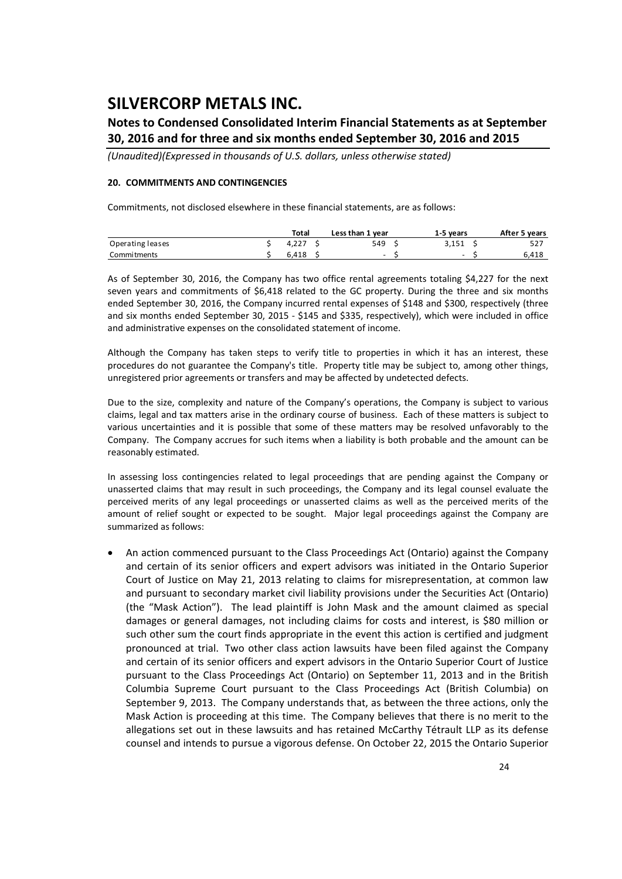### **Notes to Condensed Consolidated Interim Financial Statements as at September 30, 2016 and for three and six months ended September 30, 2016 and 2015**

*(Unaudited)(Expressed in thousands of U.S. dollars, unless otherwise stated)*

#### **20. COMMITMENTS AND CONTINGENCIES**

Commitments, not disclosed elsewhere in these financial statements, are as follows:

|                  | Total | Less than 1 year | 1-5 vears                | After 5 years |
|------------------|-------|------------------|--------------------------|---------------|
| Operating leases | 4.227 | 549              | 3.151                    | 527           |
| Commitments      | 6.418 | $\sim$           | $\overline{\phantom{0}}$ | 6,418         |

As of September 30, 2016, the Company has two office rental agreements totaling \$4,227 for the next seven years and commitments of \$6,418 related to the GC property. During the three and six months ended September 30, 2016, the Company incurred rental expenses of \$148 and \$300, respectively (three and six months ended September 30, 2015 ‐ \$145 and \$335, respectively), which were included in office and administrative expenses on the consolidated statement of income.

Although the Company has taken steps to verify title to properties in which it has an interest, these procedures do not guarantee the Company's title. Property title may be subject to, among other things, unregistered prior agreements or transfers and may be affected by undetected defects.

Due to the size, complexity and nature of the Company's operations, the Company is subject to various claims, legal and tax matters arise in the ordinary course of business. Each of these matters is subject to various uncertainties and it is possible that some of these matters may be resolved unfavorably to the Company. The Company accrues for such items when a liability is both probable and the amount can be reasonably estimated.

In assessing loss contingencies related to legal proceedings that are pending against the Company or unasserted claims that may result in such proceedings, the Company and its legal counsel evaluate the perceived merits of any legal proceedings or unasserted claims as well as the perceived merits of the amount of relief sought or expected to be sought. Major legal proceedings against the Company are summarized as follows:

 An action commenced pursuant to the Class Proceedings Act (Ontario) against the Company and certain of its senior officers and expert advisors was initiated in the Ontario Superior Court of Justice on May 21, 2013 relating to claims for misrepresentation, at common law and pursuant to secondary market civil liability provisions under the Securities Act (Ontario) (the "Mask Action"). The lead plaintiff is John Mask and the amount claimed as special damages or general damages, not including claims for costs and interest, is \$80 million or such other sum the court finds appropriate in the event this action is certified and judgment pronounced at trial. Two other class action lawsuits have been filed against the Company and certain of its senior officers and expert advisors in the Ontario Superior Court of Justice pursuant to the Class Proceedings Act (Ontario) on September 11, 2013 and in the British Columbia Supreme Court pursuant to the Class Proceedings Act (British Columbia) on September 9, 2013. The Company understands that, as between the three actions, only the Mask Action is proceeding at this time. The Company believes that there is no merit to the allegations set out in these lawsuits and has retained McCarthy Tétrault LLP as its defense counsel and intends to pursue a vigorous defense. On October 22, 2015 the Ontario Superior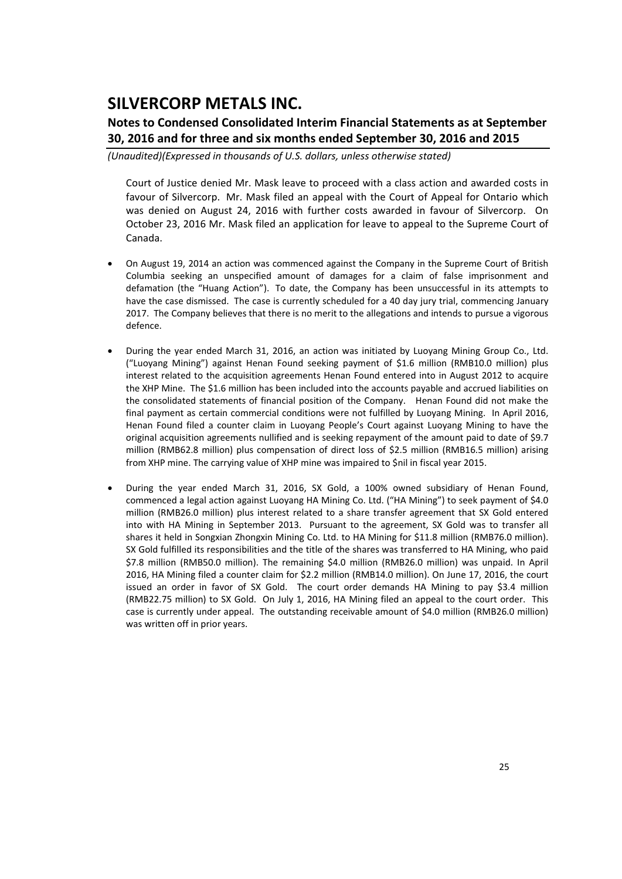### **Notes to Condensed Consolidated Interim Financial Statements as at September 30, 2016 and for three and six months ended September 30, 2016 and 2015**

*(Unaudited)(Expressed in thousands of U.S. dollars, unless otherwise stated)*

Court of Justice denied Mr. Mask leave to proceed with a class action and awarded costs in favour of Silvercorp. Mr. Mask filed an appeal with the Court of Appeal for Ontario which was denied on August 24, 2016 with further costs awarded in favour of Silvercorp. On October 23, 2016 Mr. Mask filed an application for leave to appeal to the Supreme Court of Canada.

- On August 19, 2014 an action was commenced against the Company in the Supreme Court of British Columbia seeking an unspecified amount of damages for a claim of false imprisonment and defamation (the "Huang Action"). To date, the Company has been unsuccessful in its attempts to have the case dismissed. The case is currently scheduled for a 40 day jury trial, commencing January 2017. The Company believes that there is no merit to the allegations and intends to pursue a vigorous defence.
- During the year ended March 31, 2016, an action was initiated by Luoyang Mining Group Co., Ltd. ("Luoyang Mining") against Henan Found seeking payment of \$1.6 million (RMB10.0 million) plus interest related to the acquisition agreements Henan Found entered into in August 2012 to acquire the XHP Mine. The \$1.6 million has been included into the accounts payable and accrued liabilities on the consolidated statements of financial position of the Company. Henan Found did not make the final payment as certain commercial conditions were not fulfilled by Luoyang Mining. In April 2016, Henan Found filed a counter claim in Luoyang People's Court against Luoyang Mining to have the original acquisition agreements nullified and is seeking repayment of the amount paid to date of \$9.7 million (RMB62.8 million) plus compensation of direct loss of \$2.5 million (RMB16.5 million) arising from XHP mine. The carrying value of XHP mine was impaired to \$nil in fiscal year 2015.
- During the year ended March 31, 2016, SX Gold, a 100% owned subsidiary of Henan Found, commenced a legal action against Luoyang HA Mining Co. Ltd. ("HA Mining") to seek payment of \$4.0 million (RMB26.0 million) plus interest related to a share transfer agreement that SX Gold entered into with HA Mining in September 2013. Pursuant to the agreement, SX Gold was to transfer all shares it held in Songxian Zhongxin Mining Co. Ltd. to HA Mining for \$11.8 million (RMB76.0 million). SX Gold fulfilled its responsibilities and the title of the shares was transferred to HA Mining, who paid \$7.8 million (RMB50.0 million). The remaining \$4.0 million (RMB26.0 million) was unpaid. In April 2016, HA Mining filed a counter claim for \$2.2 million (RMB14.0 million). On June 17, 2016, the court issued an order in favor of SX Gold. The court order demands HA Mining to pay \$3.4 million (RMB22.75 million) to SX Gold. On July 1, 2016, HA Mining filed an appeal to the court order. This case is currently under appeal. The outstanding receivable amount of \$4.0 million (RMB26.0 million) was written off in prior years.